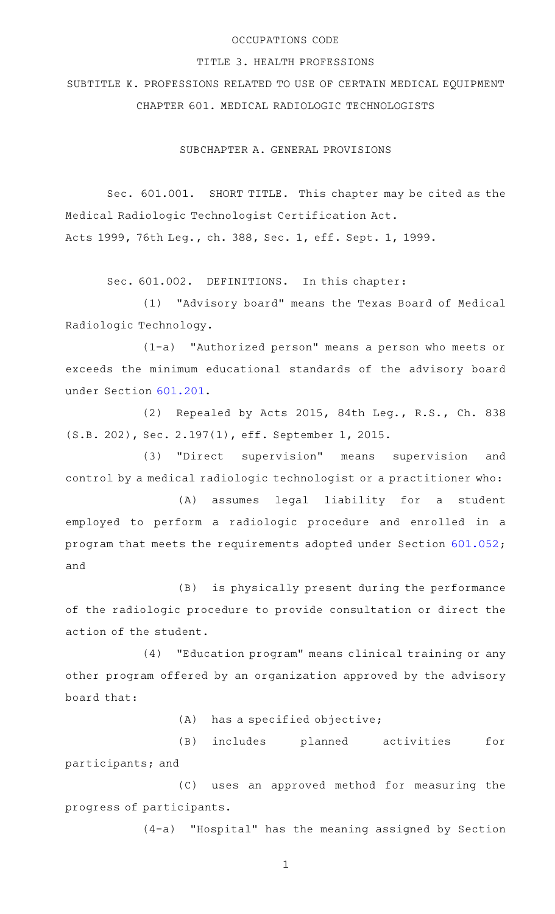### OCCUPATIONS CODE

#### TITLE 3. HEALTH PROFESSIONS

SUBTITLE K. PROFESSIONS RELATED TO USE OF CERTAIN MEDICAL EQUIPMENT CHAPTER 601. MEDICAL RADIOLOGIC TECHNOLOGISTS

SUBCHAPTER A. GENERAL PROVISIONS

Sec. 601.001. SHORT TITLE. This chapter may be cited as the Medical Radiologic Technologist Certification Act. Acts 1999, 76th Leg., ch. 388, Sec. 1, eff. Sept. 1, 1999.

Sec. 601.002. DEFINITIONS. In this chapter:

(1) "Advisory board" means the Texas Board of Medical Radiologic Technology.

(1-a) "Authorized person" means a person who meets or exceeds the minimum educational standards of the advisory board under Section [601.201](http://www.statutes.legis.state.tx.us/GetStatute.aspx?Code=OC&Value=601.201).

(2) Repealed by Acts 2015, 84th Leg., R.S., Ch. 838 (S.B. 202), Sec. 2.197(1), eff. September 1, 2015.

(3) "Direct supervision" means supervision and control by a medical radiologic technologist or a practitioner who:

(A) assumes legal liability for a student employed to perform a radiologic procedure and enrolled in a program that meets the requirements adopted under Section [601.052](http://www.statutes.legis.state.tx.us/GetStatute.aspx?Code=OC&Value=601.052); and

(B) is physically present during the performance of the radiologic procedure to provide consultation or direct the action of the student.

(4) "Education program" means clinical training or any other program offered by an organization approved by the advisory board that:

 $(A)$  has a specified objective;

(B) includes planned activities for participants; and

(C) uses an approved method for measuring the progress of participants.

(4-a) "Hospital" has the meaning assigned by Section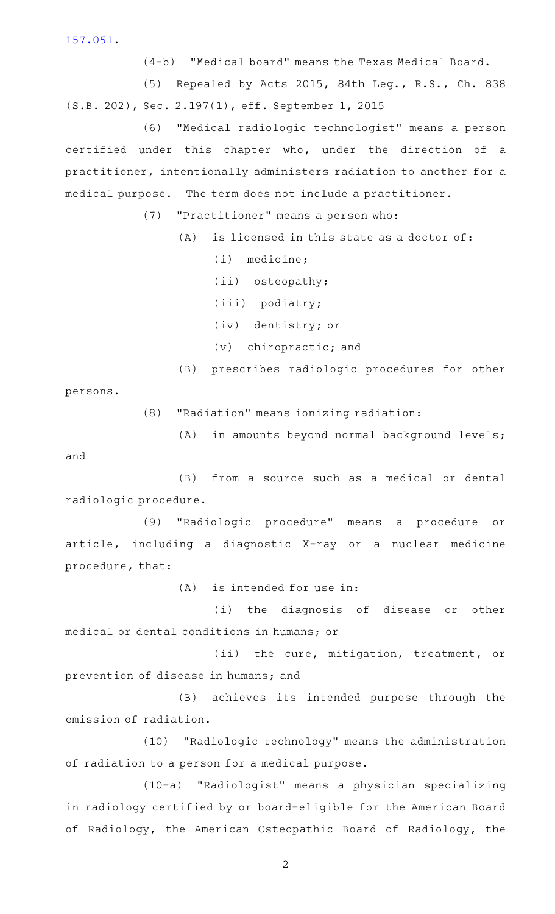[157.051.](http://www.statutes.legis.state.tx.us/GetStatute.aspx?Code=OC&Value=157.051)

(4-b) "Medical board" means the Texas Medical Board.

(5) Repealed by Acts 2015, 84th Leg., R.S., Ch. 838 (S.B. 202), Sec. 2.197(1), eff. September 1, 2015

(6) "Medical radiologic technologist" means a person certified under this chapter who, under the direction of a practitioner, intentionally administers radiation to another for a medical purpose. The term does not include a practitioner.

(7) "Practitioner" means a person who:

 $(A)$  is licensed in this state as a doctor of:

 $(i)$  medicine;

(ii) osteopathy;

(iii) podiatry;

(iv) dentistry; or

 $(v)$  chiropractic; and

(B) prescribes radiologic procedures for other

persons.

(8) "Radiation" means ionizing radiation:

(A) in amounts beyond normal background levels; and

(B) from a source such as a medical or dental radiologic procedure.

(9) "Radiologic procedure" means a procedure or article, including a diagnostic X-ray or a nuclear medicine procedure, that:

 $(A)$  is intended for use in:

(i) the diagnosis of disease or other medical or dental conditions in humans; or

(ii) the cure, mitigation, treatment, or prevention of disease in humans; and

(B) achieves its intended purpose through the emission of radiation.

(10) "Radiologic technology" means the administration of radiation to a person for a medical purpose.

(10-a) "Radiologist" means a physician specializing in radiology certified by or board-eligible for the American Board of Radiology, the American Osteopathic Board of Radiology, the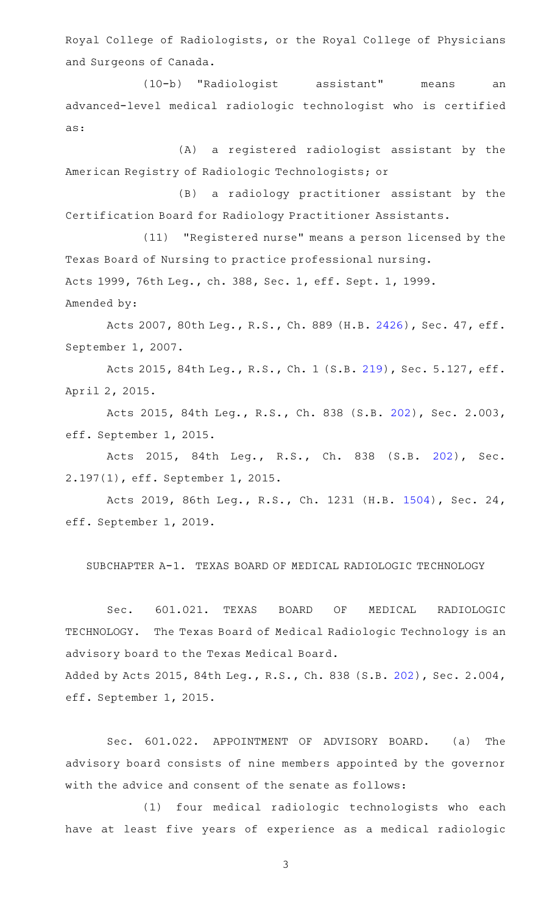Royal College of Radiologists, or the Royal College of Physicians and Surgeons of Canada.

(10-b) "Radiologist assistant" means an advanced-level medical radiologic technologist who is certified as:

(A) a registered radiologist assistant by the American Registry of Radiologic Technologists; or

(B) a radiology practitioner assistant by the Certification Board for Radiology Practitioner Assistants.

(11) "Registered nurse" means a person licensed by the Texas Board of Nursing to practice professional nursing. Acts 1999, 76th Leg., ch. 388, Sec. 1, eff. Sept. 1, 1999.

Amended by:

Acts 2007, 80th Leg., R.S., Ch. 889 (H.B. [2426\)](http://www.legis.state.tx.us/tlodocs/80R/billtext/html/HB02426F.HTM), Sec. 47, eff. September 1, 2007.

Acts 2015, 84th Leg., R.S., Ch. 1 (S.B. [219](http://www.legis.state.tx.us/tlodocs/84R/billtext/html/SB00219F.HTM)), Sec. 5.127, eff. April 2, 2015.

Acts 2015, 84th Leg., R.S., Ch. 838 (S.B. [202](http://www.legis.state.tx.us/tlodocs/84R/billtext/html/SB00202F.HTM)), Sec. 2.003, eff. September 1, 2015.

Acts 2015, 84th Leg., R.S., Ch. 838 (S.B. [202\)](http://www.legis.state.tx.us/tlodocs/84R/billtext/html/SB00202F.HTM), Sec. 2.197(1), eff. September 1, 2015.

Acts 2019, 86th Leg., R.S., Ch. 1231 (H.B. [1504](http://www.legis.state.tx.us/tlodocs/86R/billtext/html/HB01504F.HTM)), Sec. 24, eff. September 1, 2019.

SUBCHAPTER A-1. TEXAS BOARD OF MEDICAL RADIOLOGIC TECHNOLOGY

Sec. 601.021. TEXAS BOARD OF MEDICAL RADIOLOGIC TECHNOLOGY. The Texas Board of Medical Radiologic Technology is an advisory board to the Texas Medical Board.

Added by Acts 2015, 84th Leg., R.S., Ch. 838 (S.B. [202\)](http://www.legis.state.tx.us/tlodocs/84R/billtext/html/SB00202F.HTM), Sec. 2.004, eff. September 1, 2015.

Sec. 601.022. APPOINTMENT OF ADVISORY BOARD. (a) The advisory board consists of nine members appointed by the governor with the advice and consent of the senate as follows:

(1) four medical radiologic technologists who each have at least five years of experience as a medical radiologic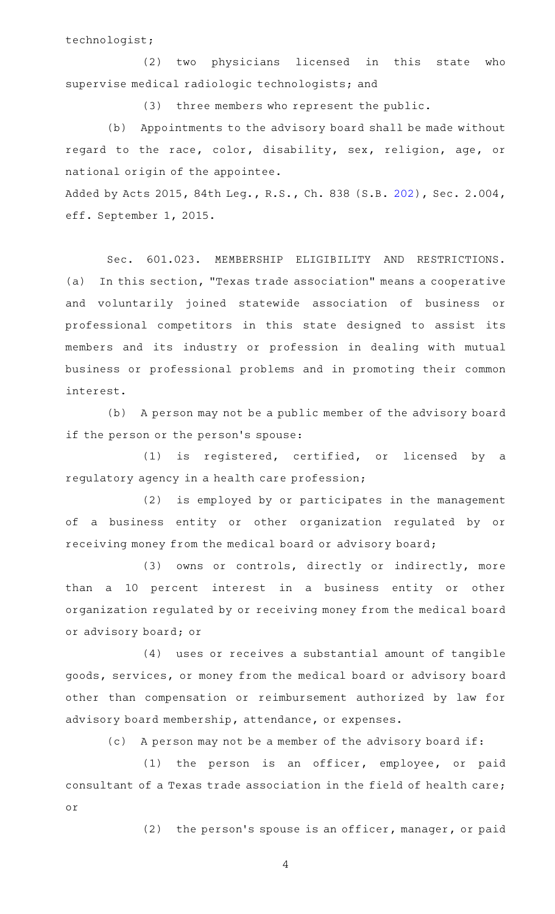technologist;

(2) two physicians licensed in this state who supervise medical radiologic technologists; and

(3) three members who represent the public.

(b) Appointments to the advisory board shall be made without regard to the race, color, disability, sex, religion, age, or national origin of the appointee.

Added by Acts 2015, 84th Leg., R.S., Ch. 838 (S.B. [202\)](http://www.legis.state.tx.us/tlodocs/84R/billtext/html/SB00202F.HTM), Sec. 2.004, eff. September 1, 2015.

Sec. 601.023. MEMBERSHIP ELIGIBILITY AND RESTRICTIONS. (a) In this section, "Texas trade association" means a cooperative and voluntarily joined statewide association of business or professional competitors in this state designed to assist its members and its industry or profession in dealing with mutual business or professional problems and in promoting their common interest.

(b) A person may not be a public member of the advisory board if the person or the person's spouse:

 $(1)$  is registered, certified, or licensed by a regulatory agency in a health care profession;

(2) is employed by or participates in the management of a business entity or other organization regulated by or receiving money from the medical board or advisory board;

(3) owns or controls, directly or indirectly, more than a 10 percent interest in a business entity or other organization regulated by or receiving money from the medical board or advisory board; or

(4) uses or receives a substantial amount of tangible goods, services, or money from the medical board or advisory board other than compensation or reimbursement authorized by law for advisory board membership, attendance, or expenses.

(c) A person may not be a member of the advisory board if:

 $(1)$  the person is an officer, employee, or paid consultant of a Texas trade association in the field of health care; or

(2) the person's spouse is an officer, manager, or paid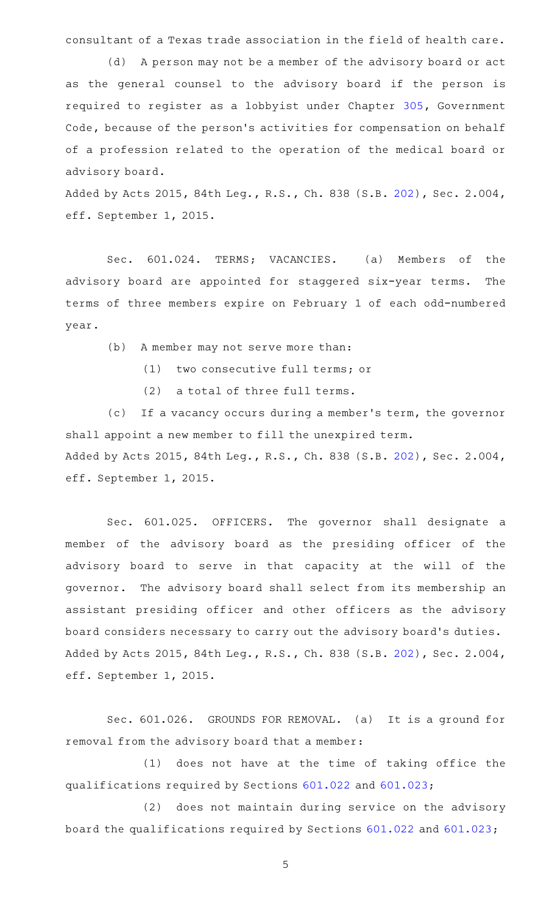consultant of a Texas trade association in the field of health care.

(d) A person may not be a member of the advisory board or act as the general counsel to the advisory board if the person is required to register as a lobbyist under Chapter [305](http://www.statutes.legis.state.tx.us/GetStatute.aspx?Code=GV&Value=305), Government Code, because of the person's activities for compensation on behalf of a profession related to the operation of the medical board or advisory board.

Added by Acts 2015, 84th Leg., R.S., Ch. 838 (S.B. [202\)](http://www.legis.state.tx.us/tlodocs/84R/billtext/html/SB00202F.HTM), Sec. 2.004, eff. September 1, 2015.

Sec. 601.024. TERMS; VACANCIES. (a) Members of the advisory board are appointed for staggered six-year terms. The terms of three members expire on February 1 of each odd-numbered year.

(b) A member may not serve more than:

- (1) two consecutive full terms; or
- (2) a total of three full terms.

(c) If a vacancy occurs during a member's term, the governor shall appoint a new member to fill the unexpired term. Added by Acts 2015, 84th Leg., R.S., Ch. 838 (S.B. [202\)](http://www.legis.state.tx.us/tlodocs/84R/billtext/html/SB00202F.HTM), Sec. 2.004, eff. September 1, 2015.

Sec. 601.025. OFFICERS. The governor shall designate a member of the advisory board as the presiding officer of the advisory board to serve in that capacity at the will of the governor. The advisory board shall select from its membership an assistant presiding officer and other officers as the advisory board considers necessary to carry out the advisory board 's duties. Added by Acts 2015, 84th Leg., R.S., Ch. 838 (S.B. [202\)](http://www.legis.state.tx.us/tlodocs/84R/billtext/html/SB00202F.HTM), Sec. 2.004, eff. September 1, 2015.

Sec. 601.026. GROUNDS FOR REMOVAL. (a) It is a ground for removal from the advisory board that a member:

(1) does not have at the time of taking office the qualifications required by Sections [601.022](http://www.statutes.legis.state.tx.us/GetStatute.aspx?Code=OC&Value=601.022) and [601.023](http://www.statutes.legis.state.tx.us/GetStatute.aspx?Code=OC&Value=601.023);

(2) does not maintain during service on the advisory board the qualifications required by Sections [601.022](http://www.statutes.legis.state.tx.us/GetStatute.aspx?Code=OC&Value=601.022) and [601.023](http://www.statutes.legis.state.tx.us/GetStatute.aspx?Code=OC&Value=601.023);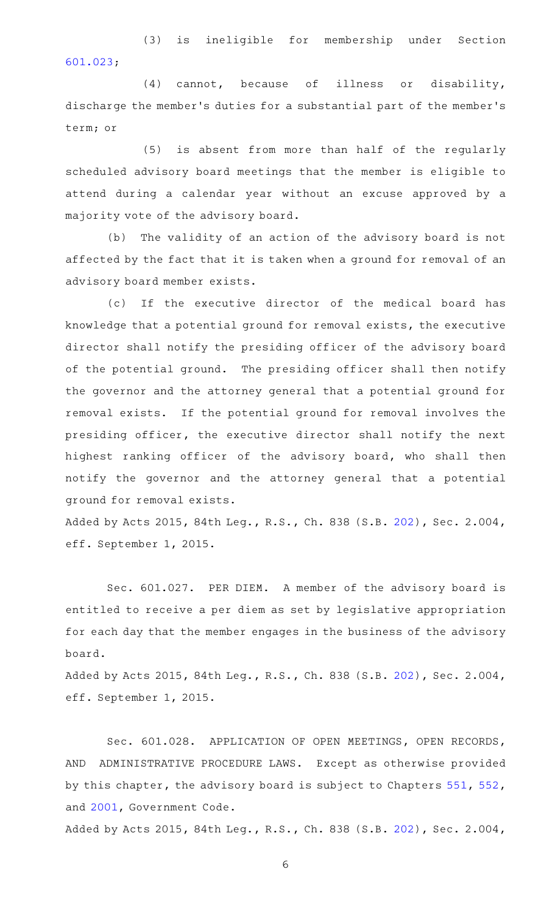(3) is ineligible for membership under Section [601.023;](http://www.statutes.legis.state.tx.us/GetStatute.aspx?Code=OC&Value=601.023)

 $(4)$  cannot, because of illness or disability, discharge the member 's duties for a substantial part of the member 's term; or

(5) is absent from more than half of the regularly scheduled advisory board meetings that the member is eligible to attend during a calendar year without an excuse approved by a majority vote of the advisory board.

(b) The validity of an action of the advisory board is not affected by the fact that it is taken when a ground for removal of an advisory board member exists.

(c) If the executive director of the medical board has knowledge that a potential ground for removal exists, the executive director shall notify the presiding officer of the advisory board of the potential ground. The presiding officer shall then notify the governor and the attorney general that a potential ground for removal exists. If the potential ground for removal involves the presiding officer, the executive director shall notify the next highest ranking officer of the advisory board, who shall then notify the governor and the attorney general that a potential ground for removal exists.

Added by Acts 2015, 84th Leg., R.S., Ch. 838 (S.B. [202\)](http://www.legis.state.tx.us/tlodocs/84R/billtext/html/SB00202F.HTM), Sec. 2.004, eff. September 1, 2015.

Sec. 601.027. PER DIEM. A member of the advisory board is entitled to receive a per diem as set by legislative appropriation for each day that the member engages in the business of the advisory board.

Added by Acts 2015, 84th Leg., R.S., Ch. 838 (S.B. [202\)](http://www.legis.state.tx.us/tlodocs/84R/billtext/html/SB00202F.HTM), Sec. 2.004, eff. September 1, 2015.

Sec. 601.028. APPLICATION OF OPEN MEETINGS, OPEN RECORDS, AND ADMINISTRATIVE PROCEDURE LAWS. Except as otherwise provided by this chapter, the advisory board is subject to Chapters [551](http://www.statutes.legis.state.tx.us/GetStatute.aspx?Code=GV&Value=551), [552](http://www.statutes.legis.state.tx.us/GetStatute.aspx?Code=GV&Value=552), and [2001,](http://www.statutes.legis.state.tx.us/GetStatute.aspx?Code=GV&Value=2001) Government Code.

Added by Acts 2015, 84th Leg., R.S., Ch. 838 (S.B. [202\)](http://www.legis.state.tx.us/tlodocs/84R/billtext/html/SB00202F.HTM), Sec. 2.004,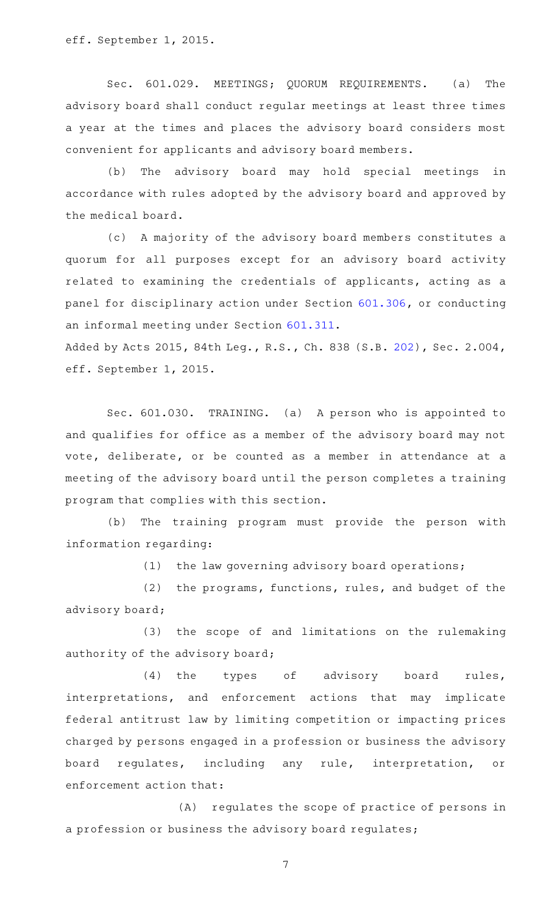eff. September 1, 2015.

Sec. 601.029. MEETINGS; QUORUM REQUIREMENTS. (a) The advisory board shall conduct regular meetings at least three times a year at the times and places the advisory board considers most convenient for applicants and advisory board members.

(b) The advisory board may hold special meetings in accordance with rules adopted by the advisory board and approved by the medical board.

(c)AAA majority of the advisory board members constitutes a quorum for all purposes except for an advisory board activity related to examining the credentials of applicants, acting as a panel for disciplinary action under Section [601.306,](http://www.statutes.legis.state.tx.us/GetStatute.aspx?Code=OC&Value=601.306) or conducting an informal meeting under Section [601.311.](http://www.statutes.legis.state.tx.us/GetStatute.aspx?Code=OC&Value=601.311)

Added by Acts 2015, 84th Leg., R.S., Ch. 838 (S.B. [202\)](http://www.legis.state.tx.us/tlodocs/84R/billtext/html/SB00202F.HTM), Sec. 2.004, eff. September 1, 2015.

Sec. 601.030. TRAINING. (a) A person who is appointed to and qualifies for office as a member of the advisory board may not vote, deliberate, or be counted as a member in attendance at a meeting of the advisory board until the person completes a training program that complies with this section.

(b) The training program must provide the person with information regarding:

 $(1)$  the law governing advisory board operations;

(2) the programs, functions, rules, and budget of the advisory board;

(3) the scope of and limitations on the rulemaking authority of the advisory board;

(4) the types of advisory board rules, interpretations, and enforcement actions that may implicate federal antitrust law by limiting competition or impacting prices charged by persons engaged in a profession or business the advisory board regulates, including any rule, interpretation, or enforcement action that:

(A) regulates the scope of practice of persons in a profession or business the advisory board regulates;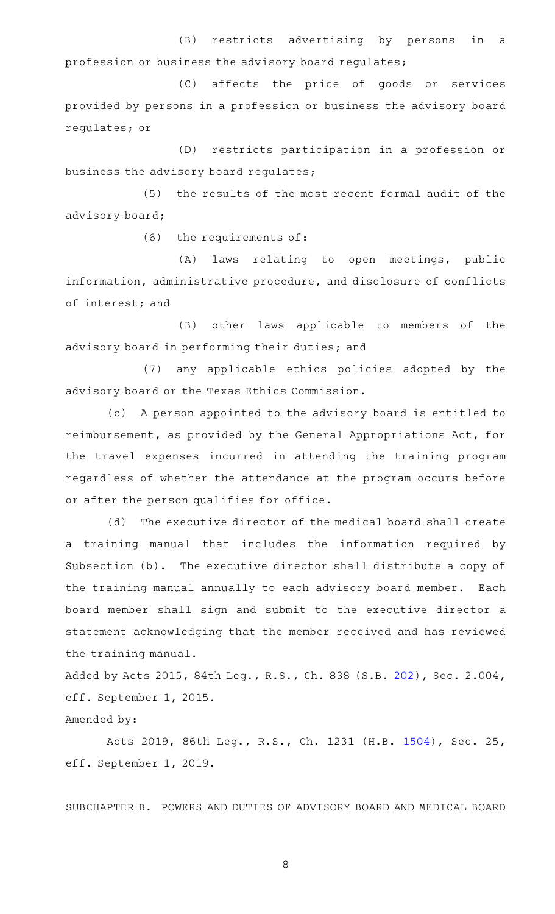(B) restricts advertising by persons in a profession or business the advisory board regulates;

(C) affects the price of goods or services provided by persons in a profession or business the advisory board regulates; or

(D) restricts participation in a profession or business the advisory board regulates;

(5) the results of the most recent formal audit of the advisory board;

 $(6)$  the requirements of:

(A) laws relating to open meetings, public information, administrative procedure, and disclosure of conflicts of interest; and

(B) other laws applicable to members of the advisory board in performing their duties; and

(7) any applicable ethics policies adopted by the advisory board or the Texas Ethics Commission.

(c) A person appointed to the advisory board is entitled to reimbursement, as provided by the General Appropriations Act, for the travel expenses incurred in attending the training program regardless of whether the attendance at the program occurs before or after the person qualifies for office.

(d) The executive director of the medical board shall create a training manual that includes the information required by Subsection (b). The executive director shall distribute a copy of the training manual annually to each advisory board member. Each board member shall sign and submit to the executive director a statement acknowledging that the member received and has reviewed the training manual.

Added by Acts 2015, 84th Leg., R.S., Ch. 838 (S.B. [202\)](http://www.legis.state.tx.us/tlodocs/84R/billtext/html/SB00202F.HTM), Sec. 2.004, eff. September 1, 2015.

Amended by:

Acts 2019, 86th Leg., R.S., Ch. 1231 (H.B. [1504](http://www.legis.state.tx.us/tlodocs/86R/billtext/html/HB01504F.HTM)), Sec. 25, eff. September 1, 2019.

SUBCHAPTER B. POWERS AND DUTIES OF ADVISORY BOARD AND MEDICAL BOARD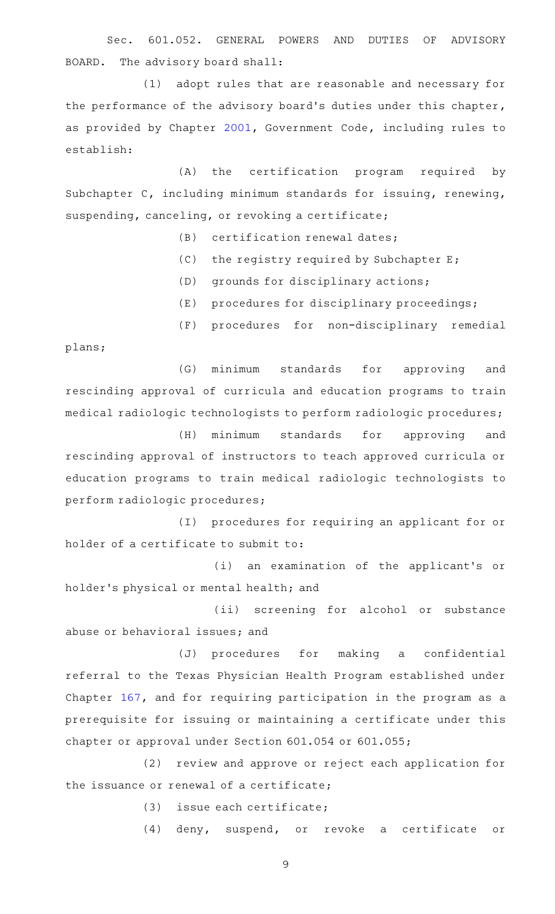Sec. 601.052. GENERAL POWERS AND DUTIES OF ADVISORY BOARD. The advisory board shall:

(1) adopt rules that are reasonable and necessary for the performance of the advisory board's duties under this chapter, as provided by Chapter [2001](http://www.statutes.legis.state.tx.us/GetStatute.aspx?Code=GV&Value=2001), Government Code, including rules to establish:

(A) the certification program required by Subchapter C, including minimum standards for issuing, renewing, suspending, canceling, or revoking a certificate;

(B) certification renewal dates;

- (C) the registry required by Subchapter E;
- (D) grounds for disciplinary actions;
- (E) procedures for disciplinary proceedings;

(F) procedures for non-disciplinary remedial plans;

(G) minimum standards for approving and rescinding approval of curricula and education programs to train medical radiologic technologists to perform radiologic procedures;

(H) minimum standards for approving and rescinding approval of instructors to teach approved curricula or education programs to train medical radiologic technologists to perform radiologic procedures;

(I) procedures for requiring an applicant for or holder of a certificate to submit to:

(i) an examination of the applicant's or holder 's physical or mental health; and

(ii) screening for alcohol or substance abuse or behavioral issues; and

(J) procedures for making a confidential referral to the Texas Physician Health Program established under Chapter [167](http://www.statutes.legis.state.tx.us/GetStatute.aspx?Code=OC&Value=167), and for requiring participation in the program as a prerequisite for issuing or maintaining a certificate under this chapter or approval under Section 601.054 or 601.055;

(2) review and approve or reject each application for the issuance or renewal of a certificate;

 $(3)$  issue each certificate;

(4) deny, suspend, or revoke a certificate or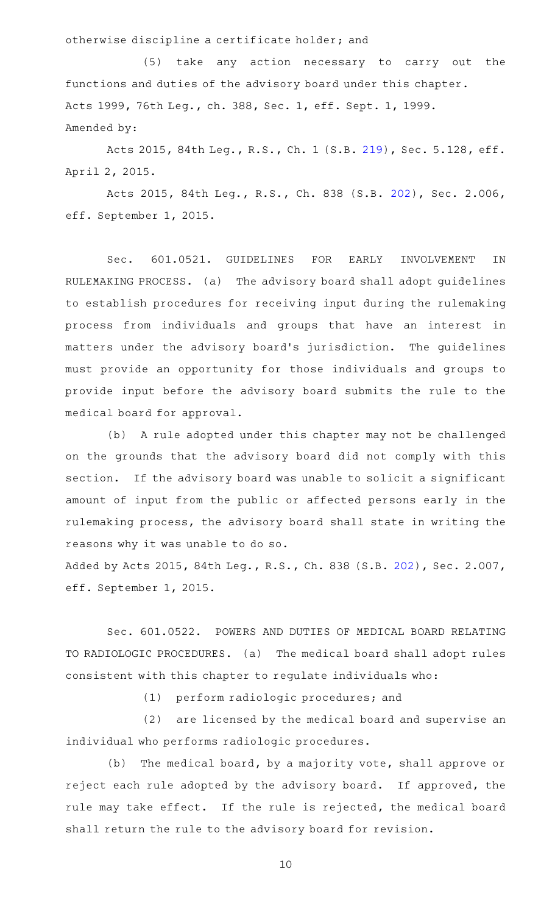otherwise discipline a certificate holder; and

(5) take any action necessary to carry out the functions and duties of the advisory board under this chapter. Acts 1999, 76th Leg., ch. 388, Sec. 1, eff. Sept. 1, 1999. Amended by:

Acts 2015, 84th Leg., R.S., Ch. 1 (S.B. [219](http://www.legis.state.tx.us/tlodocs/84R/billtext/html/SB00219F.HTM)), Sec. 5.128, eff. April 2, 2015.

Acts 2015, 84th Leg., R.S., Ch. 838 (S.B. [202](http://www.legis.state.tx.us/tlodocs/84R/billtext/html/SB00202F.HTM)), Sec. 2.006, eff. September 1, 2015.

Sec. 601.0521. GUIDELINES FOR EARLY INVOLVEMENT IN RULEMAKING PROCESS. (a) The advisory board shall adopt guidelines to establish procedures for receiving input during the rulemaking process from individuals and groups that have an interest in matters under the advisory board's jurisdiction. The guidelines must provide an opportunity for those individuals and groups to provide input before the advisory board submits the rule to the medical board for approval.

(b) A rule adopted under this chapter may not be challenged on the grounds that the advisory board did not comply with this section. If the advisory board was unable to solicit a significant amount of input from the public or affected persons early in the rulemaking process, the advisory board shall state in writing the reasons why it was unable to do so.

Added by Acts 2015, 84th Leg., R.S., Ch. 838 (S.B. [202\)](http://www.legis.state.tx.us/tlodocs/84R/billtext/html/SB00202F.HTM), Sec. 2.007, eff. September 1, 2015.

Sec. 601.0522. POWERS AND DUTIES OF MEDICAL BOARD RELATING TO RADIOLOGIC PROCEDURES. (a) The medical board shall adopt rules consistent with this chapter to regulate individuals who:

(1) perform radiologic procedures; and

(2) are licensed by the medical board and supervise an individual who performs radiologic procedures.

(b) The medical board, by a majority vote, shall approve or reject each rule adopted by the advisory board. If approved, the rule may take effect. If the rule is rejected, the medical board shall return the rule to the advisory board for revision.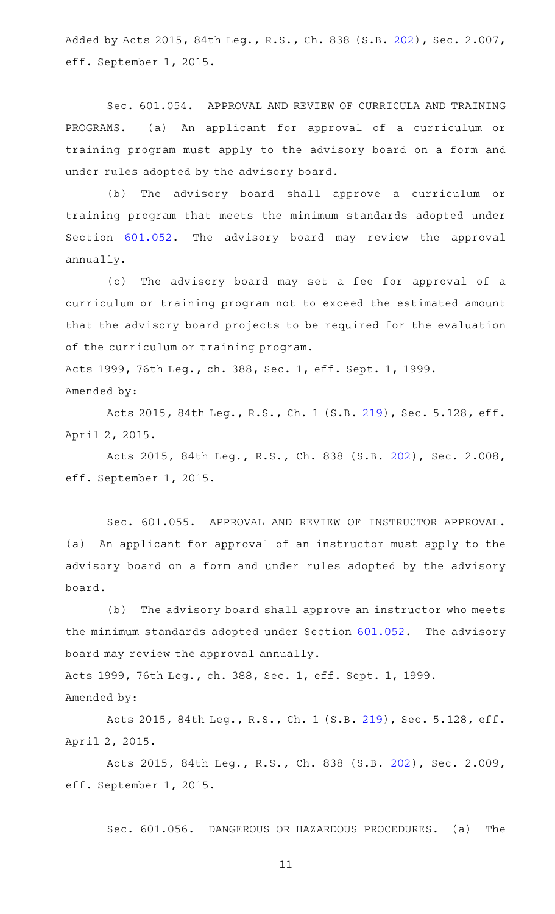Added by Acts 2015, 84th Leg., R.S., Ch. 838 (S.B. [202\)](http://www.legis.state.tx.us/tlodocs/84R/billtext/html/SB00202F.HTM), Sec. 2.007, eff. September 1, 2015.

Sec. 601.054. APPROVAL AND REVIEW OF CURRICULA AND TRAINING PROGRAMS. (a) An applicant for approval of a curriculum or training program must apply to the advisory board on a form and under rules adopted by the advisory board.

(b) The advisory board shall approve a curriculum or training program that meets the minimum standards adopted under Section [601.052.](http://www.statutes.legis.state.tx.us/GetStatute.aspx?Code=OC&Value=601.052) The advisory board may review the approval annually.

(c) The advisory board may set a fee for approval of a curriculum or training program not to exceed the estimated amount that the advisory board projects to be required for the evaluation of the curriculum or training program.

Acts 1999, 76th Leg., ch. 388, Sec. 1, eff. Sept. 1, 1999. Amended by:

Acts 2015, 84th Leg., R.S., Ch. 1 (S.B. [219](http://www.legis.state.tx.us/tlodocs/84R/billtext/html/SB00219F.HTM)), Sec. 5.128, eff. April 2, 2015.

Acts 2015, 84th Leg., R.S., Ch. 838 (S.B. [202](http://www.legis.state.tx.us/tlodocs/84R/billtext/html/SB00202F.HTM)), Sec. 2.008, eff. September 1, 2015.

Sec. 601.055. APPROVAL AND REVIEW OF INSTRUCTOR APPROVAL. (a) An applicant for approval of an instructor must apply to the advisory board on a form and under rules adopted by the advisory board.

(b) The advisory board shall approve an instructor who meets the minimum standards adopted under Section  $601.052$ . The advisory board may review the approval annually.

Acts 1999, 76th Leg., ch. 388, Sec. 1, eff. Sept. 1, 1999.

Amended by:

Acts 2015, 84th Leg., R.S., Ch. 1 (S.B. [219](http://www.legis.state.tx.us/tlodocs/84R/billtext/html/SB00219F.HTM)), Sec. 5.128, eff. April 2, 2015.

Acts 2015, 84th Leg., R.S., Ch. 838 (S.B. [202](http://www.legis.state.tx.us/tlodocs/84R/billtext/html/SB00202F.HTM)), Sec. 2.009, eff. September 1, 2015.

Sec. 601.056. DANGEROUS OR HAZARDOUS PROCEDURES. (a) The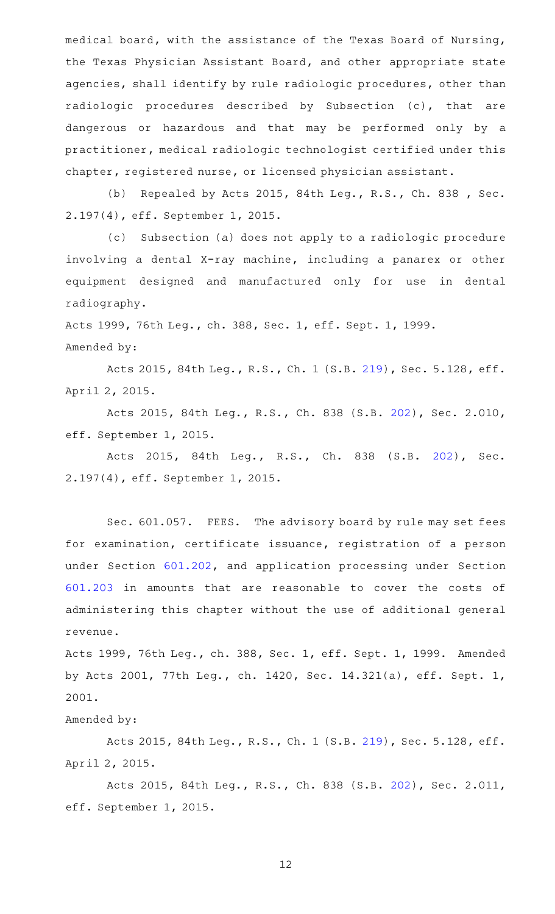medical board, with the assistance of the Texas Board of Nursing, the Texas Physician Assistant Board, and other appropriate state agencies, shall identify by rule radiologic procedures, other than radiologic procedures described by Subsection (c), that are dangerous or hazardous and that may be performed only by a practitioner, medical radiologic technologist certified under this chapter, registered nurse, or licensed physician assistant.

(b) Repealed by Acts 2015, 84th Leg., R.S., Ch. 838 , Sec. 2.197(4), eff. September 1, 2015.

(c) Subsection (a) does not apply to a radiologic procedure involving a dental X-ray machine, including a panarex or other equipment designed and manufactured only for use in dental radiography.

Acts 1999, 76th Leg., ch. 388, Sec. 1, eff. Sept. 1, 1999. Amended by:

Acts 2015, 84th Leg., R.S., Ch. 1 (S.B. [219](http://www.legis.state.tx.us/tlodocs/84R/billtext/html/SB00219F.HTM)), Sec. 5.128, eff. April 2, 2015.

Acts 2015, 84th Leg., R.S., Ch. 838 (S.B. [202](http://www.legis.state.tx.us/tlodocs/84R/billtext/html/SB00202F.HTM)), Sec. 2.010, eff. September 1, 2015.

Acts 2015, 84th Leg., R.S., Ch. 838 (S.B. [202\)](http://www.legis.state.tx.us/tlodocs/84R/billtext/html/SB00202F.HTM), Sec. 2.197(4), eff. September 1, 2015.

Sec. 601.057. FEES. The advisory board by rule may set fees for examination, certificate issuance, registration of a person under Section [601.202,](http://www.statutes.legis.state.tx.us/GetStatute.aspx?Code=OC&Value=601.202) and application processing under Section [601.203](http://www.statutes.legis.state.tx.us/GetStatute.aspx?Code=OC&Value=601.203) in amounts that are reasonable to cover the costs of administering this chapter without the use of additional general revenue.

Acts 1999, 76th Leg., ch. 388, Sec. 1, eff. Sept. 1, 1999. Amended by Acts 2001, 77th Leg., ch. 1420, Sec. 14.321(a), eff. Sept. 1, 2001.

Amended by:

Acts 2015, 84th Leg., R.S., Ch. 1 (S.B. [219](http://www.legis.state.tx.us/tlodocs/84R/billtext/html/SB00219F.HTM)), Sec. 5.128, eff. April 2, 2015.

Acts 2015, 84th Leg., R.S., Ch. 838 (S.B. [202](http://www.legis.state.tx.us/tlodocs/84R/billtext/html/SB00202F.HTM)), Sec. 2.011, eff. September 1, 2015.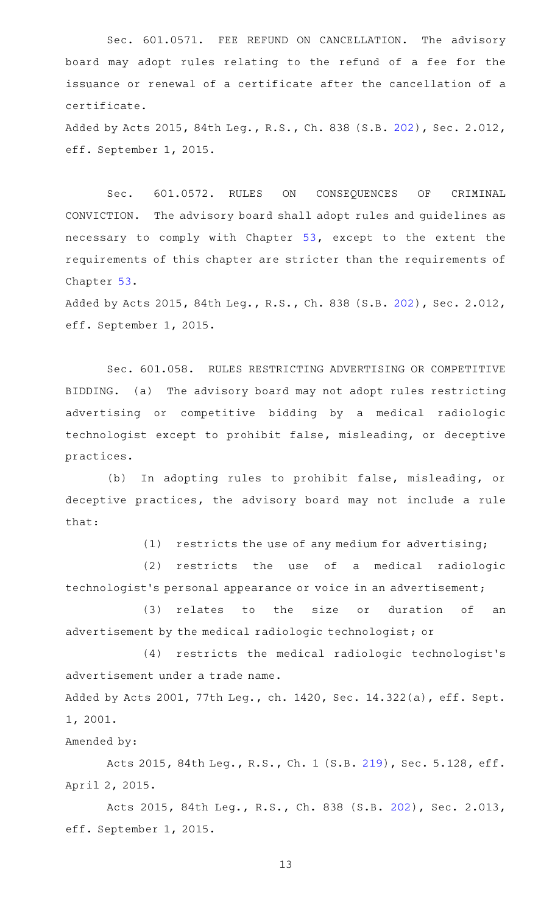Sec. 601.0571. FEE REFUND ON CANCELLATION. The advisory board may adopt rules relating to the refund of a fee for the issuance or renewal of a certificate after the cancellation of a certificate.

Added by Acts 2015, 84th Leg., R.S., Ch. 838 (S.B. [202\)](http://www.legis.state.tx.us/tlodocs/84R/billtext/html/SB00202F.HTM), Sec. 2.012, eff. September 1, 2015.

Sec. 601.0572. RULES ON CONSEQUENCES OF CRIMINAL CONVICTION. The advisory board shall adopt rules and guidelines as necessary to comply with Chapter [53,](http://www.statutes.legis.state.tx.us/GetStatute.aspx?Code=OC&Value=53) except to the extent the requirements of this chapter are stricter than the requirements of Chapter [53.](http://www.statutes.legis.state.tx.us/GetStatute.aspx?Code=OC&Value=53)

Added by Acts 2015, 84th Leg., R.S., Ch. 838 (S.B. [202\)](http://www.legis.state.tx.us/tlodocs/84R/billtext/html/SB00202F.HTM), Sec. 2.012, eff. September 1, 2015.

Sec. 601.058. RULES RESTRICTING ADVERTISING OR COMPETITIVE BIDDING. (a) The advisory board may not adopt rules restricting advertising or competitive bidding by a medical radiologic technologist except to prohibit false, misleading, or deceptive practices.

(b) In adopting rules to prohibit false, misleading, or deceptive practices, the advisory board may not include a rule that:

 $(1)$  restricts the use of any medium for advertising;

(2) restricts the use of a medical radiologic technologist 's personal appearance or voice in an advertisement;

(3) relates to the size or duration of an advertisement by the medical radiologic technologist; or

 $(4)$  restricts the medical radiologic technologist's advertisement under a trade name.

Added by Acts 2001, 77th Leg., ch. 1420, Sec. 14.322(a), eff. Sept. 1, 2001.

Amended by:

Acts 2015, 84th Leg., R.S., Ch. 1 (S.B. [219](http://www.legis.state.tx.us/tlodocs/84R/billtext/html/SB00219F.HTM)), Sec. 5.128, eff. April 2, 2015.

Acts 2015, 84th Leg., R.S., Ch. 838 (S.B. [202](http://www.legis.state.tx.us/tlodocs/84R/billtext/html/SB00202F.HTM)), Sec. 2.013, eff. September 1, 2015.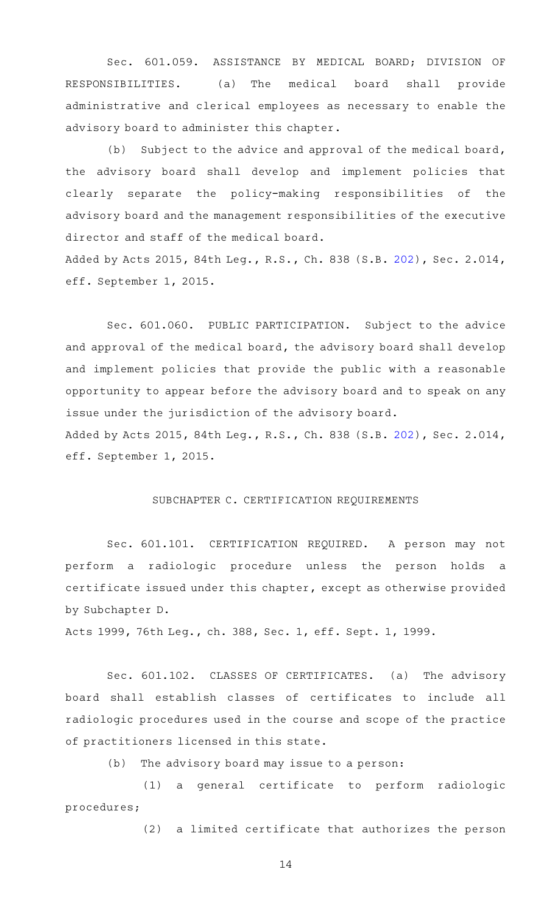Sec. 601.059. ASSISTANCE BY MEDICAL BOARD; DIVISION OF RESPONSIBILITIES. (a) The medical board shall provide administrative and clerical employees as necessary to enable the advisory board to administer this chapter.

(b) Subject to the advice and approval of the medical board, the advisory board shall develop and implement policies that clearly separate the policy-making responsibilities of the advisory board and the management responsibilities of the executive director and staff of the medical board. Added by Acts 2015, 84th Leg., R.S., Ch. 838 (S.B. [202\)](http://www.legis.state.tx.us/tlodocs/84R/billtext/html/SB00202F.HTM), Sec. 2.014,

eff. September 1, 2015.

Sec. 601.060. PUBLIC PARTICIPATION. Subject to the advice and approval of the medical board, the advisory board shall develop and implement policies that provide the public with a reasonable opportunity to appear before the advisory board and to speak on any issue under the jurisdiction of the advisory board. Added by Acts 2015, 84th Leg., R.S., Ch. 838 (S.B. [202\)](http://www.legis.state.tx.us/tlodocs/84R/billtext/html/SB00202F.HTM), Sec. 2.014, eff. September 1, 2015.

#### SUBCHAPTER C. CERTIFICATION REQUIREMENTS

Sec. 601.101. CERTIFICATION REQUIRED. A person may not perform a radiologic procedure unless the person holds a certificate issued under this chapter, except as otherwise provided by Subchapter D.

Acts 1999, 76th Leg., ch. 388, Sec. 1, eff. Sept. 1, 1999.

Sec. 601.102. CLASSES OF CERTIFICATES. (a) The advisory board shall establish classes of certificates to include all radiologic procedures used in the course and scope of the practice of practitioners licensed in this state.

 $(b)$  The advisory board may issue to a person:

(1) a general certificate to perform radiologic procedures;

(2) a limited certificate that authorizes the person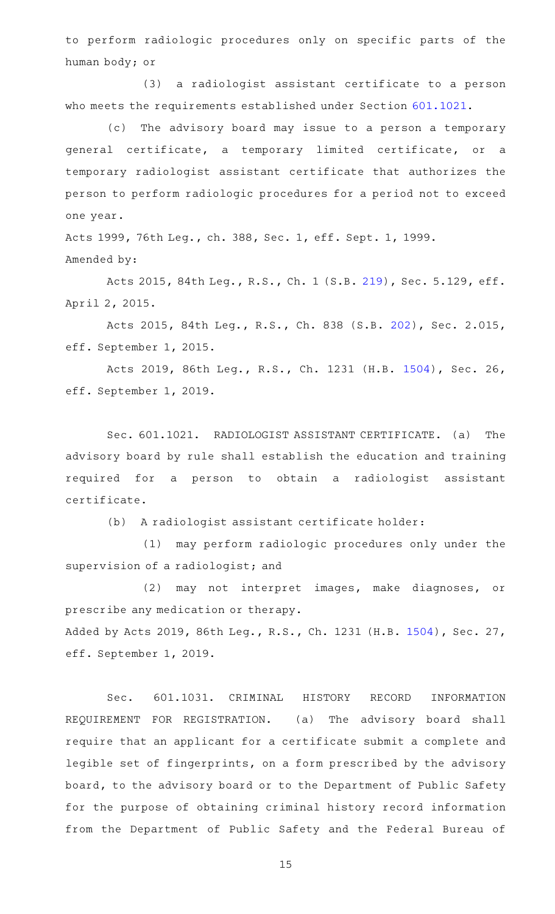to perform radiologic procedures only on specific parts of the human body; or

(3) a radiologist assistant certificate to a person who meets the requirements established under Section [601.1021.](http://www.statutes.legis.state.tx.us/GetStatute.aspx?Code=OC&Value=601.1021)

(c) The advisory board may issue to a person a temporary general certificate, a temporary limited certificate, or a temporary radiologist assistant certificate that authorizes the person to perform radiologic procedures for a period not to exceed one year.

Acts 1999, 76th Leg., ch. 388, Sec. 1, eff. Sept. 1, 1999. Amended by:

Acts 2015, 84th Leg., R.S., Ch. 1 (S.B. [219](http://www.legis.state.tx.us/tlodocs/84R/billtext/html/SB00219F.HTM)), Sec. 5.129, eff. April 2, 2015.

Acts 2015, 84th Leg., R.S., Ch. 838 (S.B. [202](http://www.legis.state.tx.us/tlodocs/84R/billtext/html/SB00202F.HTM)), Sec. 2.015, eff. September 1, 2015.

Acts 2019, 86th Leg., R.S., Ch. 1231 (H.B. [1504](http://www.legis.state.tx.us/tlodocs/86R/billtext/html/HB01504F.HTM)), Sec. 26, eff. September 1, 2019.

Sec. 601.1021. RADIOLOGIST ASSISTANT CERTIFICATE. (a) The advisory board by rule shall establish the education and training required for a person to obtain a radiologist assistant certificate.

(b) A radiologist assistant certificate holder:

(1) may perform radiologic procedures only under the supervision of a radiologist; and

(2) may not interpret images, make diagnoses, or prescribe any medication or therapy. Added by Acts 2019, 86th Leg., R.S., Ch. 1231 (H.B. [1504](http://www.legis.state.tx.us/tlodocs/86R/billtext/html/HB01504F.HTM)), Sec. 27, eff. September 1, 2019.

Sec. 601.1031. CRIMINAL HISTORY RECORD INFORMATION REQUIREMENT FOR REGISTRATION. (a) The advisory board shall require that an applicant for a certificate submit a complete and legible set of fingerprints, on a form prescribed by the advisory board, to the advisory board or to the Department of Public Safety for the purpose of obtaining criminal history record information from the Department of Public Safety and the Federal Bureau of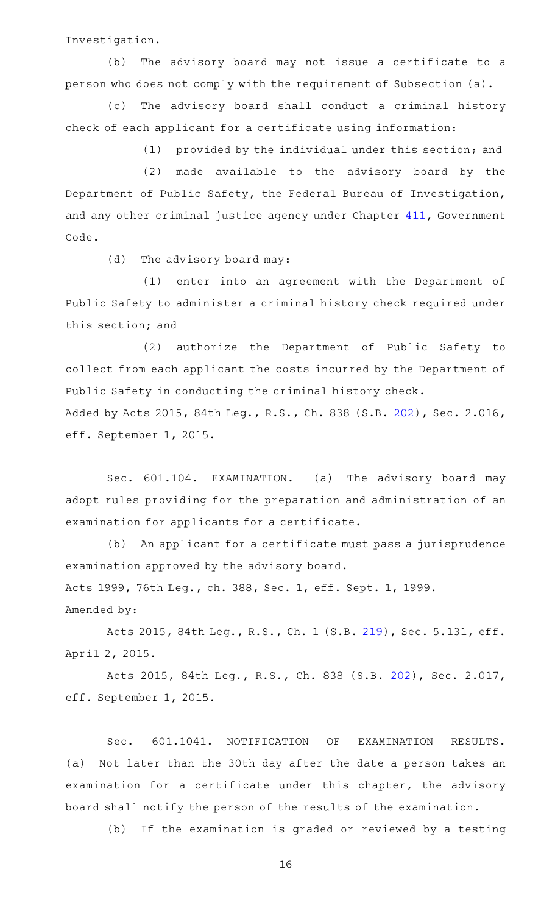Investigation.

(b) The advisory board may not issue a certificate to a person who does not comply with the requirement of Subsection (a).

(c) The advisory board shall conduct a criminal history check of each applicant for a certificate using information:

(1) provided by the individual under this section; and

(2) made available to the advisory board by the Department of Public Safety, the Federal Bureau of Investigation, and any other criminal justice agency under Chapter [411,](http://www.statutes.legis.state.tx.us/GetStatute.aspx?Code=GV&Value=411) Government Code.

(d) The advisory board may:

(1) enter into an agreement with the Department of Public Safety to administer a criminal history check required under this section; and

(2) authorize the Department of Public Safety to collect from each applicant the costs incurred by the Department of Public Safety in conducting the criminal history check. Added by Acts 2015, 84th Leg., R.S., Ch. 838 (S.B. [202\)](http://www.legis.state.tx.us/tlodocs/84R/billtext/html/SB00202F.HTM), Sec. 2.016,

eff. September 1, 2015.

Sec. 601.104. EXAMINATION. (a) The advisory board may adopt rules providing for the preparation and administration of an examination for applicants for a certificate.

(b) An applicant for a certificate must pass a jurisprudence examination approved by the advisory board. Acts 1999, 76th Leg., ch. 388, Sec. 1, eff. Sept. 1, 1999.

Amended by:

Acts 2015, 84th Leg., R.S., Ch. 1 (S.B. [219](http://www.legis.state.tx.us/tlodocs/84R/billtext/html/SB00219F.HTM)), Sec. 5.131, eff. April 2, 2015.

Acts 2015, 84th Leg., R.S., Ch. 838 (S.B. [202](http://www.legis.state.tx.us/tlodocs/84R/billtext/html/SB00202F.HTM)), Sec. 2.017, eff. September 1, 2015.

Sec. 601.1041. NOTIFICATION OF EXAMINATION RESULTS. (a) Not later than the 30th day after the date a person takes an examination for a certificate under this chapter, the advisory board shall notify the person of the results of the examination.

(b) If the examination is graded or reviewed by a testing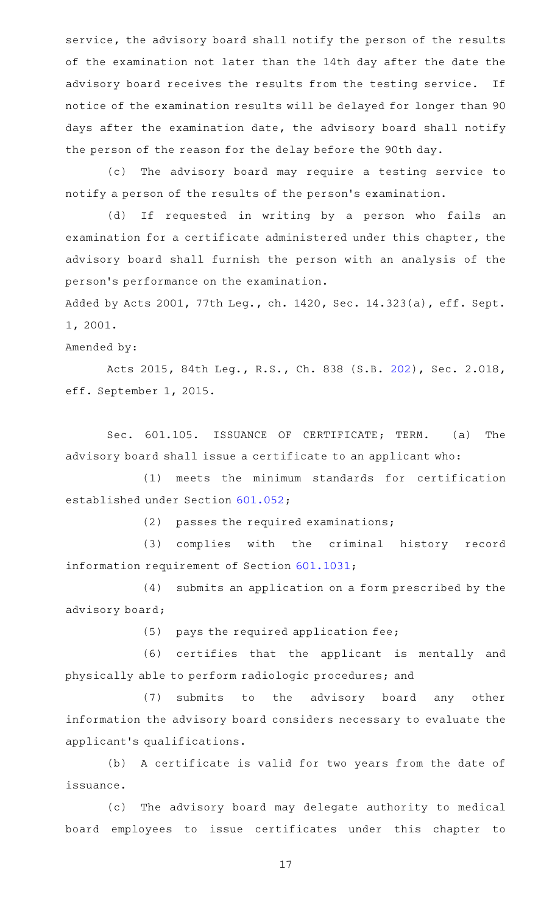service, the advisory board shall notify the person of the results of the examination not later than the 14th day after the date the advisory board receives the results from the testing service. If notice of the examination results will be delayed for longer than 90 days after the examination date, the advisory board shall notify the person of the reason for the delay before the 90th day.

(c) The advisory board may require a testing service to notify a person of the results of the person 's examination.

(d) If requested in writing by a person who fails an examination for a certificate administered under this chapter, the advisory board shall furnish the person with an analysis of the person 's performance on the examination.

Added by Acts 2001, 77th Leg., ch. 1420, Sec. 14.323(a), eff. Sept. 1, 2001.

Amended by:

Acts 2015, 84th Leg., R.S., Ch. 838 (S.B. [202](http://www.legis.state.tx.us/tlodocs/84R/billtext/html/SB00202F.HTM)), Sec. 2.018, eff. September 1, 2015.

Sec. 601.105. ISSUANCE OF CERTIFICATE; TERM. (a) The advisory board shall issue a certificate to an applicant who:

(1) meets the minimum standards for certification established under Section [601.052;](http://www.statutes.legis.state.tx.us/GetStatute.aspx?Code=OC&Value=601.052)

 $(2)$  passes the required examinations;

(3) complies with the criminal history record information requirement of Section [601.1031;](http://www.statutes.legis.state.tx.us/GetStatute.aspx?Code=OC&Value=601.1031)

(4) submits an application on a form prescribed by the advisory board;

 $(5)$  pays the required application fee;

(6) certifies that the applicant is mentally and physically able to perform radiologic procedures; and

(7) submits to the advisory board any other information the advisory board considers necessary to evaluate the applicant 's qualifications.

(b) A certificate is valid for two years from the date of issuance.

(c) The advisory board may delegate authority to medical board employees to issue certificates under this chapter to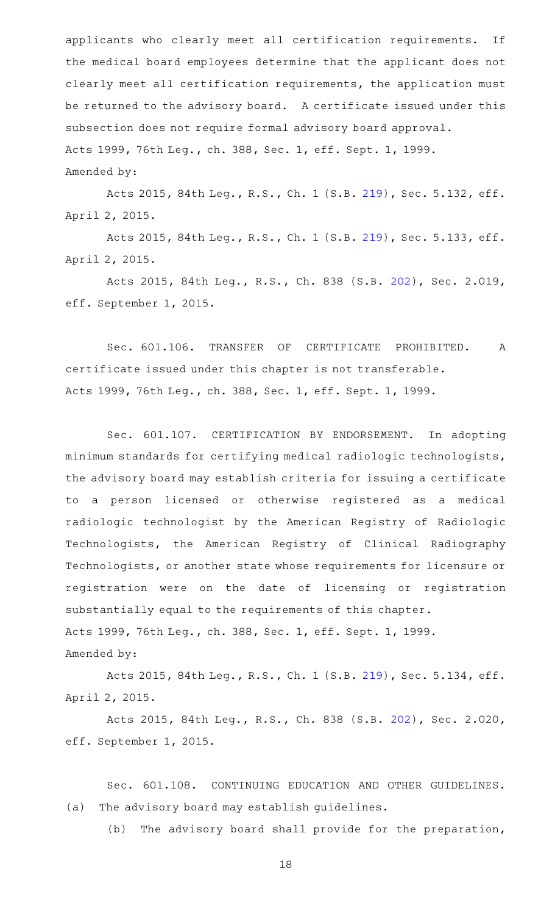applicants who clearly meet all certification requirements. If the medical board employees determine that the applicant does not clearly meet all certification requirements, the application must be returned to the advisory board. A certificate issued under this subsection does not require formal advisory board approval. Acts 1999, 76th Leg., ch. 388, Sec. 1, eff. Sept. 1, 1999. Amended by:

Acts 2015, 84th Leg., R.S., Ch. 1 (S.B. [219](http://www.legis.state.tx.us/tlodocs/84R/billtext/html/SB00219F.HTM)), Sec. 5.132, eff. April 2, 2015.

Acts 2015, 84th Leg., R.S., Ch. 1 (S.B. [219](http://www.legis.state.tx.us/tlodocs/84R/billtext/html/SB00219F.HTM)), Sec. 5.133, eff. April 2, 2015.

Acts 2015, 84th Leg., R.S., Ch. 838 (S.B. [202](http://www.legis.state.tx.us/tlodocs/84R/billtext/html/SB00202F.HTM)), Sec. 2.019, eff. September 1, 2015.

Sec. 601.106. TRANSFER OF CERTIFICATE PROHIBITED. A certificate issued under this chapter is not transferable. Acts 1999, 76th Leg., ch. 388, Sec. 1, eff. Sept. 1, 1999.

Sec. 601.107. CERTIFICATION BY ENDORSEMENT. In adopting minimum standards for certifying medical radiologic technologists, the advisory board may establish criteria for issuing a certificate to a person licensed or otherwise registered as a medical radiologic technologist by the American Registry of Radiologic Technologists, the American Registry of Clinical Radiography Technologists, or another state whose requirements for licensure or registration were on the date of licensing or registration substantially equal to the requirements of this chapter. Acts 1999, 76th Leg., ch. 388, Sec. 1, eff. Sept. 1, 1999. Amended by:

Acts 2015, 84th Leg., R.S., Ch. 1 (S.B. [219](http://www.legis.state.tx.us/tlodocs/84R/billtext/html/SB00219F.HTM)), Sec. 5.134, eff. April 2, 2015.

Acts 2015, 84th Leg., R.S., Ch. 838 (S.B. [202](http://www.legis.state.tx.us/tlodocs/84R/billtext/html/SB00202F.HTM)), Sec. 2.020, eff. September 1, 2015.

Sec. 601.108. CONTINUING EDUCATION AND OTHER GUIDELINES. (a) The advisory board may establish guidelines.

(b) The advisory board shall provide for the preparation,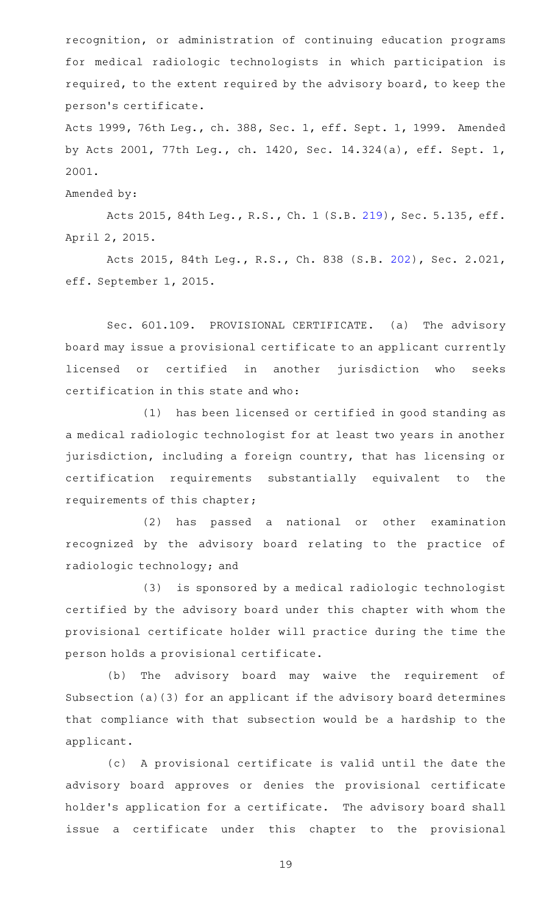recognition, or administration of continuing education programs for medical radiologic technologists in which participation is required, to the extent required by the advisory board, to keep the person 's certificate.

Acts 1999, 76th Leg., ch. 388, Sec. 1, eff. Sept. 1, 1999. Amended by Acts 2001, 77th Leg., ch. 1420, Sec. 14.324(a), eff. Sept. 1, 2001.

Amended by:

Acts 2015, 84th Leg., R.S., Ch. 1 (S.B. [219](http://www.legis.state.tx.us/tlodocs/84R/billtext/html/SB00219F.HTM)), Sec. 5.135, eff. April 2, 2015.

Acts 2015, 84th Leg., R.S., Ch. 838 (S.B. [202](http://www.legis.state.tx.us/tlodocs/84R/billtext/html/SB00202F.HTM)), Sec. 2.021, eff. September 1, 2015.

Sec. 601.109. PROVISIONAL CERTIFICATE. (a) The advisory board may issue a provisional certificate to an applicant currently licensed or certified in another jurisdiction who seeks certification in this state and who:

(1) has been licensed or certified in good standing as a medical radiologic technologist for at least two years in another jurisdiction, including a foreign country, that has licensing or certification requirements substantially equivalent to the requirements of this chapter;

(2) has passed a national or other examination recognized by the advisory board relating to the practice of radiologic technology; and

(3) is sponsored by a medical radiologic technologist certified by the advisory board under this chapter with whom the provisional certificate holder will practice during the time the person holds a provisional certificate.

(b) The advisory board may waive the requirement of Subsection (a)(3) for an applicant if the advisory board determines that compliance with that subsection would be a hardship to the applicant.

(c)AAA provisional certificate is valid until the date the advisory board approves or denies the provisional certificate holder's application for a certificate. The advisory board shall issue a certificate under this chapter to the provisional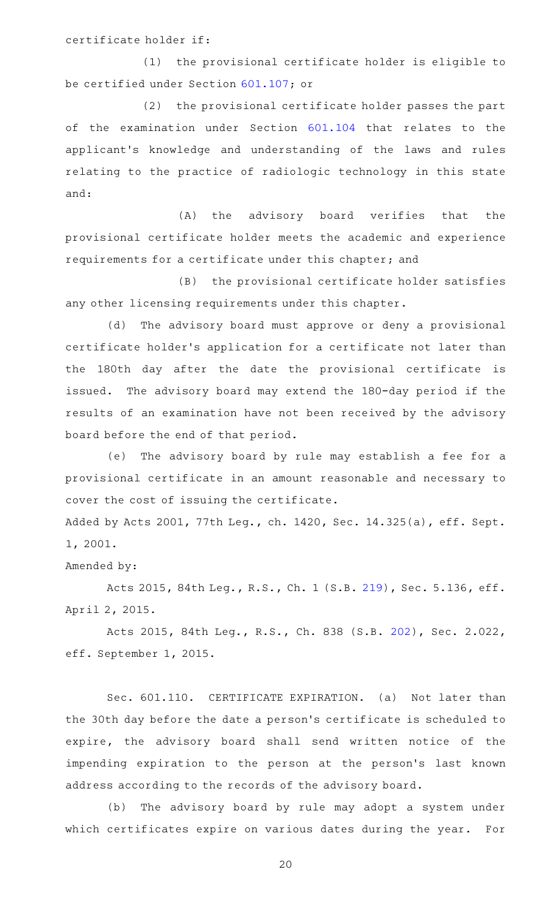certificate holder if:

(1) the provisional certificate holder is eligible to be certified under Section [601.107;](http://www.statutes.legis.state.tx.us/GetStatute.aspx?Code=OC&Value=601.107) or

(2) the provisional certificate holder passes the part of the examination under Section [601.104](http://www.statutes.legis.state.tx.us/GetStatute.aspx?Code=OC&Value=601.104) that relates to the applicant 's knowledge and understanding of the laws and rules relating to the practice of radiologic technology in this state and:

(A) the advisory board verifies that the provisional certificate holder meets the academic and experience requirements for a certificate under this chapter; and

(B) the provisional certificate holder satisfies any other licensing requirements under this chapter.

(d) The advisory board must approve or deny a provisional certificate holder 's application for a certificate not later than the 180th day after the date the provisional certificate is issued. The advisory board may extend the 180-day period if the results of an examination have not been received by the advisory board before the end of that period.

(e) The advisory board by rule may establish a fee for a provisional certificate in an amount reasonable and necessary to cover the cost of issuing the certificate.

Added by Acts 2001, 77th Leg., ch. 1420, Sec. 14.325(a), eff. Sept. 1, 2001.

Amended by:

Acts 2015, 84th Leg., R.S., Ch. 1 (S.B. [219](http://www.legis.state.tx.us/tlodocs/84R/billtext/html/SB00219F.HTM)), Sec. 5.136, eff. April 2, 2015.

Acts 2015, 84th Leg., R.S., Ch. 838 (S.B. [202](http://www.legis.state.tx.us/tlodocs/84R/billtext/html/SB00202F.HTM)), Sec. 2.022, eff. September 1, 2015.

Sec. 601.110. CERTIFICATE EXPIRATION. (a) Not later than the 30th day before the date a person 's certificate is scheduled to expire, the advisory board shall send written notice of the impending expiration to the person at the person's last known address according to the records of the advisory board.

(b) The advisory board by rule may adopt a system under which certificates expire on various dates during the year. For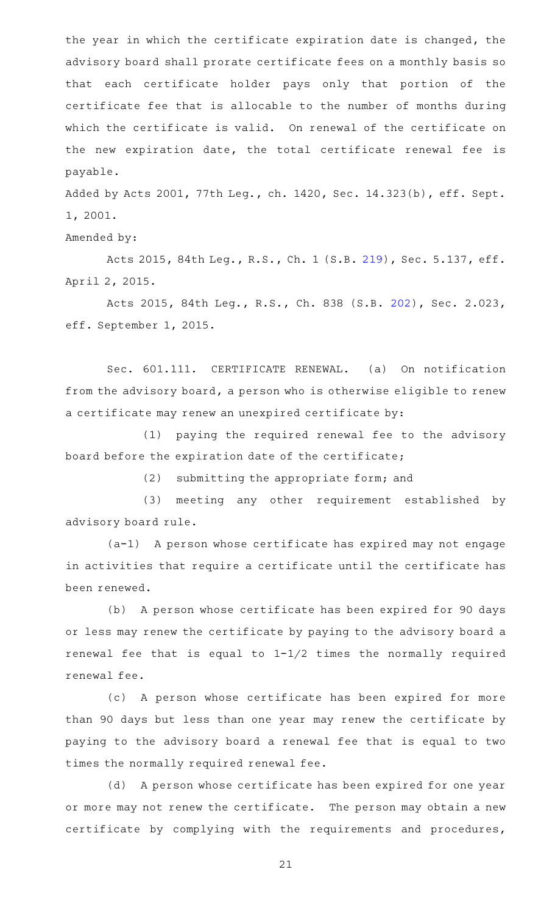the year in which the certificate expiration date is changed, the advisory board shall prorate certificate fees on a monthly basis so that each certificate holder pays only that portion of the certificate fee that is allocable to the number of months during which the certificate is valid. On renewal of the certificate on the new expiration date, the total certificate renewal fee is payable.

Added by Acts 2001, 77th Leg., ch. 1420, Sec. 14.323(b), eff. Sept. 1, 2001.

Amended by:

Acts 2015, 84th Leg., R.S., Ch. 1 (S.B. [219](http://www.legis.state.tx.us/tlodocs/84R/billtext/html/SB00219F.HTM)), Sec. 5.137, eff. April 2, 2015.

Acts 2015, 84th Leg., R.S., Ch. 838 (S.B. [202](http://www.legis.state.tx.us/tlodocs/84R/billtext/html/SB00202F.HTM)), Sec. 2.023, eff. September 1, 2015.

Sec. 601.111. CERTIFICATE RENEWAL. (a) On notification from the advisory board, a person who is otherwise eligible to renew a certificate may renew an unexpired certificate by:

(1) paying the required renewal fee to the advisory board before the expiration date of the certificate;

(2) submitting the appropriate form; and

(3) meeting any other requirement established by advisory board rule.

(a-1) A person whose certificate has expired may not engage in activities that require a certificate until the certificate has been renewed.

(b) A person whose certificate has been expired for 90 days or less may renew the certificate by paying to the advisory board a renewal fee that is equal to 1-1/2 times the normally required renewal fee.

(c) A person whose certificate has been expired for more than 90 days but less than one year may renew the certificate by paying to the advisory board a renewal fee that is equal to two times the normally required renewal fee.

(d) A person whose certificate has been expired for one year or more may not renew the certificate. The person may obtain a new certificate by complying with the requirements and procedures,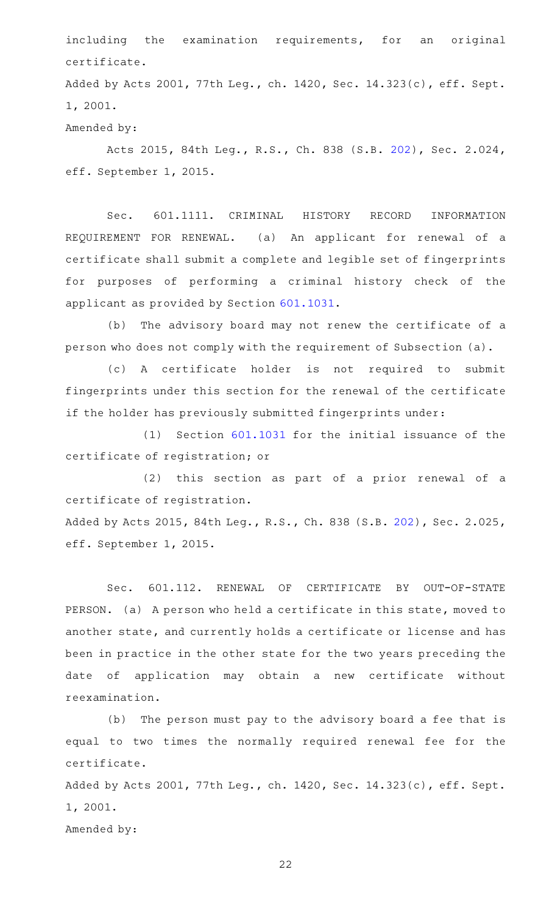including the examination requirements, for an original certificate.

Added by Acts 2001, 77th Leg., ch. 1420, Sec. 14.323(c), eff. Sept. 1, 2001.

Amended by:

Acts 2015, 84th Leg., R.S., Ch. 838 (S.B. [202](http://www.legis.state.tx.us/tlodocs/84R/billtext/html/SB00202F.HTM)), Sec. 2.024, eff. September 1, 2015.

Sec. 601.1111. CRIMINAL HISTORY RECORD INFORMATION REQUIREMENT FOR RENEWAL. (a) An applicant for renewal of a certificate shall submit a complete and legible set of fingerprints for purposes of performing a criminal history check of the applicant as provided by Section [601.1031.](http://www.statutes.legis.state.tx.us/GetStatute.aspx?Code=OC&Value=601.1031)

(b) The advisory board may not renew the certificate of a person who does not comply with the requirement of Subsection (a).

(c)AAA certificate holder is not required to submit fingerprints under this section for the renewal of the certificate if the holder has previously submitted fingerprints under:

 $(1)$  Section  $601.1031$  for the initial issuance of the certificate of registration; or

(2) this section as part of a prior renewal of a certificate of registration.

Added by Acts 2015, 84th Leg., R.S., Ch. 838 (S.B. [202\)](http://www.legis.state.tx.us/tlodocs/84R/billtext/html/SB00202F.HTM), Sec. 2.025, eff. September 1, 2015.

Sec. 601.112. RENEWAL OF CERTIFICATE BY OUT-OF-STATE PERSON. (a) A person who held a certificate in this state, moved to another state, and currently holds a certificate or license and has been in practice in the other state for the two years preceding the date of application may obtain a new certificate without reexamination.

(b) The person must pay to the advisory board a fee that is equal to two times the normally required renewal fee for the certificate.

Added by Acts 2001, 77th Leg., ch. 1420, Sec. 14.323(c), eff. Sept. 1, 2001.

Amended by: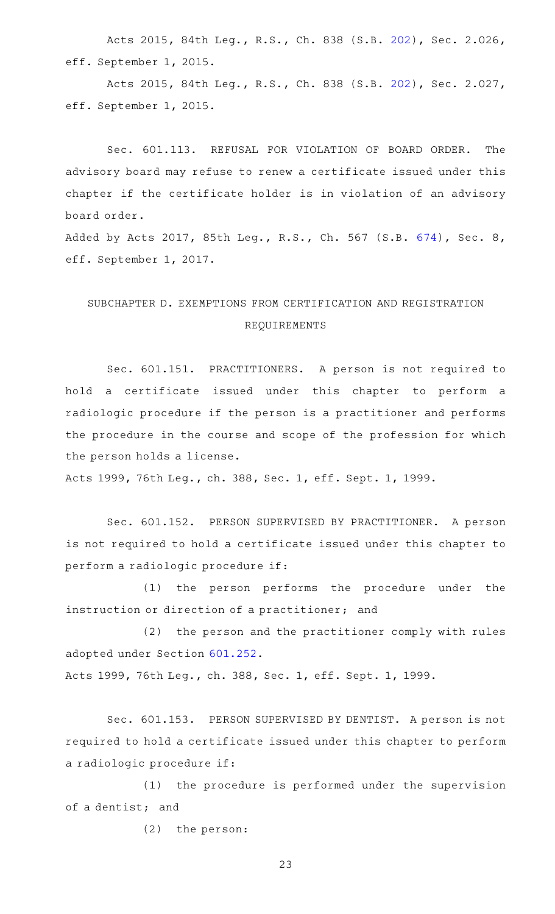Acts 2015, 84th Leg., R.S., Ch. 838 (S.B. [202](http://www.legis.state.tx.us/tlodocs/84R/billtext/html/SB00202F.HTM)), Sec. 2.026, eff. September 1, 2015.

Acts 2015, 84th Leg., R.S., Ch. 838 (S.B. [202](http://www.legis.state.tx.us/tlodocs/84R/billtext/html/SB00202F.HTM)), Sec. 2.027, eff. September 1, 2015.

Sec. 601.113. REFUSAL FOR VIOLATION OF BOARD ORDER. The advisory board may refuse to renew a certificate issued under this chapter if the certificate holder is in violation of an advisory board order.

Added by Acts 2017, 85th Leg., R.S., Ch. 567 (S.B. [674](http://www.legis.state.tx.us/tlodocs/85R/billtext/html/SB00674F.HTM)), Sec. 8, eff. September 1, 2017.

## SUBCHAPTER D. EXEMPTIONS FROM CERTIFICATION AND REGISTRATION REQUIREMENTS

Sec. 601.151. PRACTITIONERS. A person is not required to hold a certificate issued under this chapter to perform a radiologic procedure if the person is a practitioner and performs the procedure in the course and scope of the profession for which the person holds a license.

Acts 1999, 76th Leg., ch. 388, Sec. 1, eff. Sept. 1, 1999.

Sec. 601.152. PERSON SUPERVISED BY PRACTITIONER. A person is not required to hold a certificate issued under this chapter to perform a radiologic procedure if:

(1) the person performs the procedure under the instruction or direction of a practitioner; and

(2) the person and the practitioner comply with rules adopted under Section [601.252](http://www.statutes.legis.state.tx.us/GetStatute.aspx?Code=OC&Value=601.252).

Acts 1999, 76th Leg., ch. 388, Sec. 1, eff. Sept. 1, 1999.

Sec. 601.153. PERSON SUPERVISED BY DENTIST. A person is not required to hold a certificate issued under this chapter to perform a radiologic procedure if:

(1) the procedure is performed under the supervision of a dentist; and

 $(2)$  the person: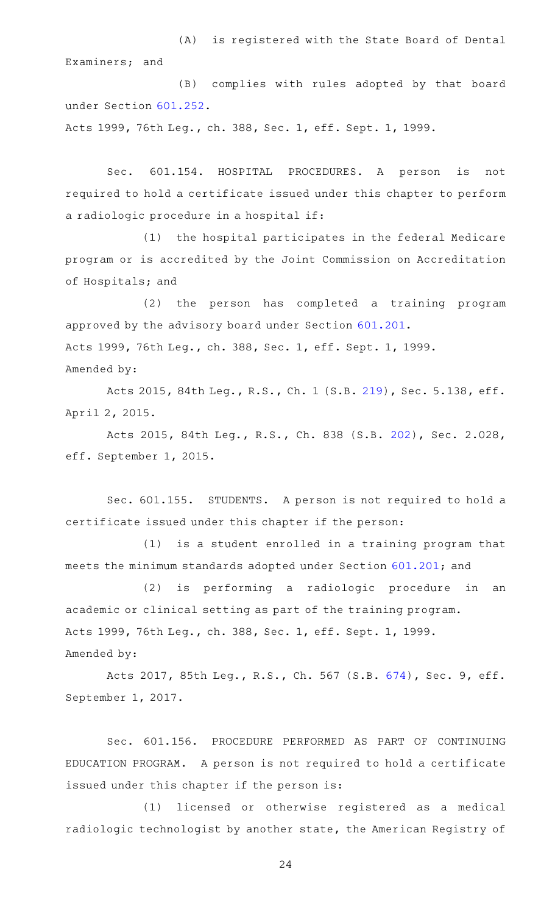(A) is registered with the State Board of Dental Examiners; and

(B) complies with rules adopted by that board under Section [601.252](http://www.statutes.legis.state.tx.us/GetStatute.aspx?Code=OC&Value=601.252).

Acts 1999, 76th Leg., ch. 388, Sec. 1, eff. Sept. 1, 1999.

Sec. 601.154. HOSPITAL PROCEDURES. A person is not required to hold a certificate issued under this chapter to perform a radiologic procedure in a hospital if:

(1) the hospital participates in the federal Medicare program or is accredited by the Joint Commission on Accreditation of Hospitals; and

(2) the person has completed a training program approved by the advisory board under Section [601.201.](http://www.statutes.legis.state.tx.us/GetStatute.aspx?Code=OC&Value=601.201) Acts 1999, 76th Leg., ch. 388, Sec. 1, eff. Sept. 1, 1999. Amended by:

Acts 2015, 84th Leg., R.S., Ch. 1 (S.B. [219](http://www.legis.state.tx.us/tlodocs/84R/billtext/html/SB00219F.HTM)), Sec. 5.138, eff. April 2, 2015.

Acts 2015, 84th Leg., R.S., Ch. 838 (S.B. [202](http://www.legis.state.tx.us/tlodocs/84R/billtext/html/SB00202F.HTM)), Sec. 2.028, eff. September 1, 2015.

Sec. 601.155. STUDENTS. A person is not required to hold a certificate issued under this chapter if the person:

 $(1)$  is a student enrolled in a training program that meets the minimum standards adopted under Section [601.201;](http://www.statutes.legis.state.tx.us/GetStatute.aspx?Code=OC&Value=601.201) and

(2) is performing a radiologic procedure in an academic or clinical setting as part of the training program. Acts 1999, 76th Leg., ch. 388, Sec. 1, eff. Sept. 1, 1999. Amended by:

Acts 2017, 85th Leg., R.S., Ch. 567 (S.B. [674](http://www.legis.state.tx.us/tlodocs/85R/billtext/html/SB00674F.HTM)), Sec. 9, eff. September 1, 2017.

Sec. 601.156. PROCEDURE PERFORMED AS PART OF CONTINUING EDUCATION PROGRAM. A person is not required to hold a certificate issued under this chapter if the person is:

(1) licensed or otherwise registered as a medical radiologic technologist by another state, the American Registry of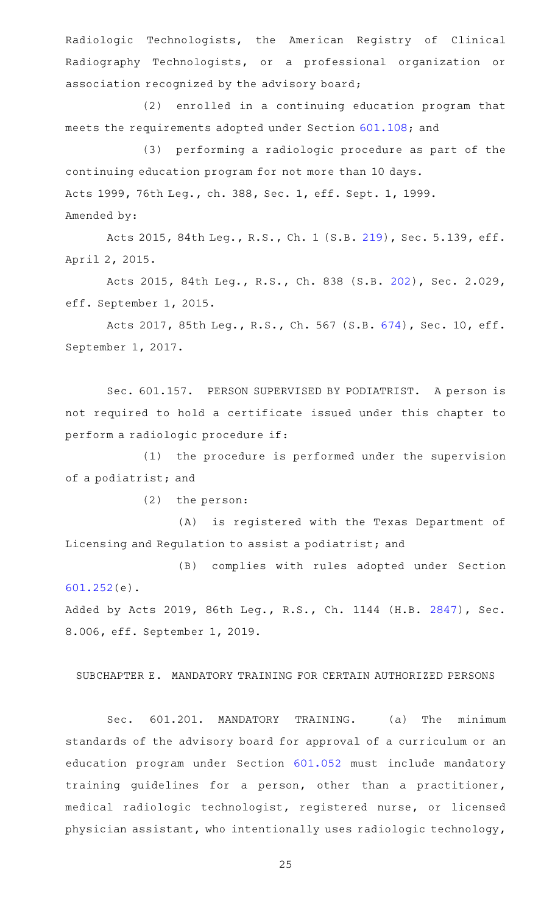Radiologic Technologists, the American Registry of Clinical Radiography Technologists, or a professional organization or association recognized by the advisory board;

(2) enrolled in a continuing education program that meets the requirements adopted under Section [601.108](http://www.statutes.legis.state.tx.us/GetStatute.aspx?Code=OC&Value=601.108); and

(3) performing a radiologic procedure as part of the continuing education program for not more than 10 days. Acts 1999, 76th Leg., ch. 388, Sec. 1, eff. Sept. 1, 1999. Amended by:

Acts 2015, 84th Leg., R.S., Ch. 1 (S.B. [219](http://www.legis.state.tx.us/tlodocs/84R/billtext/html/SB00219F.HTM)), Sec. 5.139, eff. April 2, 2015.

Acts 2015, 84th Leg., R.S., Ch. 838 (S.B. [202](http://www.legis.state.tx.us/tlodocs/84R/billtext/html/SB00202F.HTM)), Sec. 2.029, eff. September 1, 2015.

Acts 2017, 85th Leg., R.S., Ch. 567 (S.B. [674\)](http://www.legis.state.tx.us/tlodocs/85R/billtext/html/SB00674F.HTM), Sec. 10, eff. September 1, 2017.

Sec. 601.157. PERSON SUPERVISED BY PODIATRIST. A person is not required to hold a certificate issued under this chapter to perform a radiologic procedure if:

(1) the procedure is performed under the supervision of a podiatrist; and

 $(2)$  the person:

(A) is registered with the Texas Department of Licensing and Regulation to assist a podiatrist; and

(B) complies with rules adopted under Section [601.252\(](http://www.statutes.legis.state.tx.us/GetStatute.aspx?Code=OC&Value=601.252)e).

Added by Acts 2019, 86th Leg., R.S., Ch. 1144 (H.B. [2847](http://www.legis.state.tx.us/tlodocs/86R/billtext/html/HB02847F.HTM)), Sec. 8.006, eff. September 1, 2019.

## SUBCHAPTER E. MANDATORY TRAINING FOR CERTAIN AUTHORIZED PERSONS

Sec. 601.201. MANDATORY TRAINING. (a) The minimum standards of the advisory board for approval of a curriculum or an education program under Section [601.052](http://www.statutes.legis.state.tx.us/GetStatute.aspx?Code=OC&Value=601.052) must include mandatory training guidelines for a person, other than a practitioner, medical radiologic technologist, registered nurse, or licensed physician assistant, who intentionally uses radiologic technology,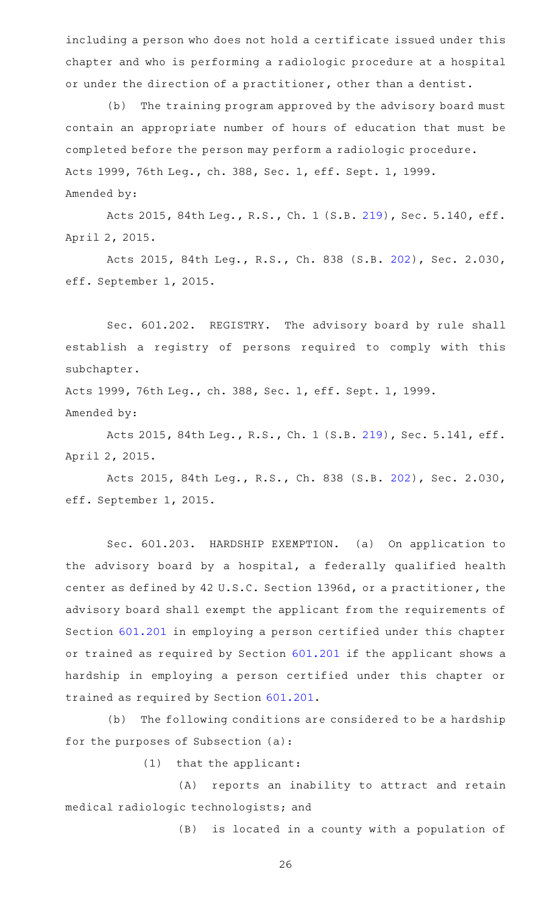including a person who does not hold a certificate issued under this chapter and who is performing a radiologic procedure at a hospital or under the direction of a practitioner, other than a dentist.

(b) The training program approved by the advisory board must contain an appropriate number of hours of education that must be completed before the person may perform a radiologic procedure. Acts 1999, 76th Leg., ch. 388, Sec. 1, eff. Sept. 1, 1999. Amended by:

Acts 2015, 84th Leg., R.S., Ch. 1 (S.B. [219](http://www.legis.state.tx.us/tlodocs/84R/billtext/html/SB00219F.HTM)), Sec. 5.140, eff. April 2, 2015.

Acts 2015, 84th Leg., R.S., Ch. 838 (S.B. [202](http://www.legis.state.tx.us/tlodocs/84R/billtext/html/SB00202F.HTM)), Sec. 2.030, eff. September 1, 2015.

Sec. 601.202. REGISTRY. The advisory board by rule shall establish a registry of persons required to comply with this subchapter.

Acts 1999, 76th Leg., ch. 388, Sec. 1, eff. Sept. 1, 1999. Amended by:

Acts 2015, 84th Leg., R.S., Ch. 1 (S.B. [219](http://www.legis.state.tx.us/tlodocs/84R/billtext/html/SB00219F.HTM)), Sec. 5.141, eff. April 2, 2015.

Acts 2015, 84th Leg., R.S., Ch. 838 (S.B. [202](http://www.legis.state.tx.us/tlodocs/84R/billtext/html/SB00202F.HTM)), Sec. 2.030, eff. September 1, 2015.

Sec. 601.203. HARDSHIP EXEMPTION. (a) On application to the advisory board by a hospital, a federally qualified health center as defined by 42 U.S.C. Section 1396d, or a practitioner, the advisory board shall exempt the applicant from the requirements of Section [601.201](http://www.statutes.legis.state.tx.us/GetStatute.aspx?Code=OC&Value=601.201) in employing a person certified under this chapter or trained as required by Section [601.201](http://www.statutes.legis.state.tx.us/GetStatute.aspx?Code=OC&Value=601.201) if the applicant shows a hardship in employing a person certified under this chapter or trained as required by Section [601.201](http://www.statutes.legis.state.tx.us/GetStatute.aspx?Code=OC&Value=601.201).

(b) The following conditions are considered to be a hardship for the purposes of Subsection (a):

 $(1)$  that the applicant:

(A) reports an inability to attract and retain medical radiologic technologists; and

(B) is located in a county with a population of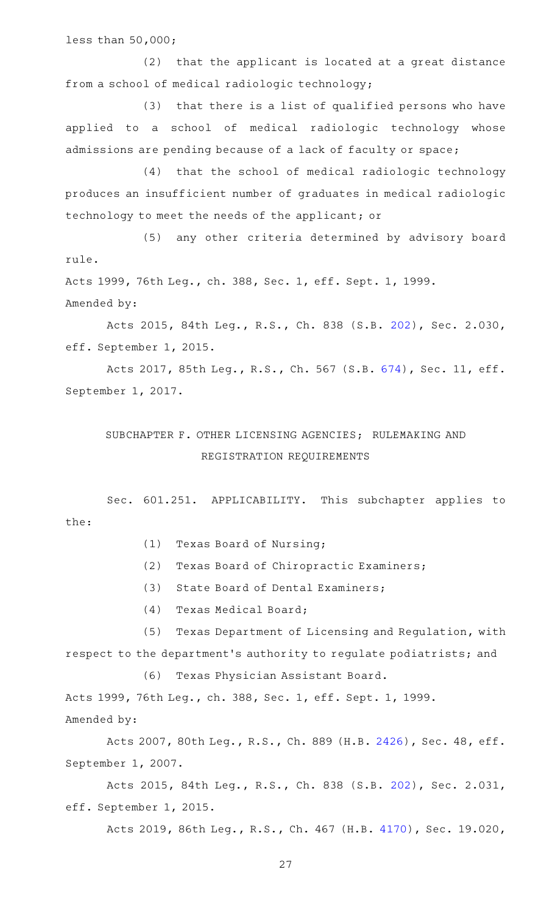less than 50,000;

(2) that the applicant is located at a great distance from a school of medical radiologic technology;

(3) that there is a list of qualified persons who have applied to a school of medical radiologic technology whose admissions are pending because of a lack of faculty or space;

(4) that the school of medical radiologic technology produces an insufficient number of graduates in medical radiologic technology to meet the needs of the applicant; or

(5) any other criteria determined by advisory board rule.

Acts 1999, 76th Leg., ch. 388, Sec. 1, eff. Sept. 1, 1999. Amended by:

Acts 2015, 84th Leg., R.S., Ch. 838 (S.B. [202](http://www.legis.state.tx.us/tlodocs/84R/billtext/html/SB00202F.HTM)), Sec. 2.030, eff. September 1, 2015.

Acts 2017, 85th Leg., R.S., Ch. 567 (S.B. [674\)](http://www.legis.state.tx.us/tlodocs/85R/billtext/html/SB00674F.HTM), Sec. 11, eff. September 1, 2017.

# SUBCHAPTER F. OTHER LICENSING AGENCIES; RULEMAKING AND REGISTRATION REQUIREMENTS

Sec. 601.251. APPLICABILITY. This subchapter applies to the:

- (1) Texas Board of Nursing;
- (2) Texas Board of Chiropractic Examiners;
- (3) State Board of Dental Examiners;
- (4) Texas Medical Board;

(5) Texas Department of Licensing and Regulation, with respect to the department 's authority to regulate podiatrists; and

(6) Texas Physician Assistant Board.

Acts 1999, 76th Leg., ch. 388, Sec. 1, eff. Sept. 1, 1999. Amended by:

Acts 2007, 80th Leg., R.S., Ch. 889 (H.B. [2426\)](http://www.legis.state.tx.us/tlodocs/80R/billtext/html/HB02426F.HTM), Sec. 48, eff. September 1, 2007.

Acts 2015, 84th Leg., R.S., Ch. 838 (S.B. [202](http://www.legis.state.tx.us/tlodocs/84R/billtext/html/SB00202F.HTM)), Sec. 2.031, eff. September 1, 2015.

Acts 2019, 86th Leg., R.S., Ch. 467 (H.B. [4170\)](http://www.legis.state.tx.us/tlodocs/86R/billtext/html/HB04170F.HTM), Sec. 19.020,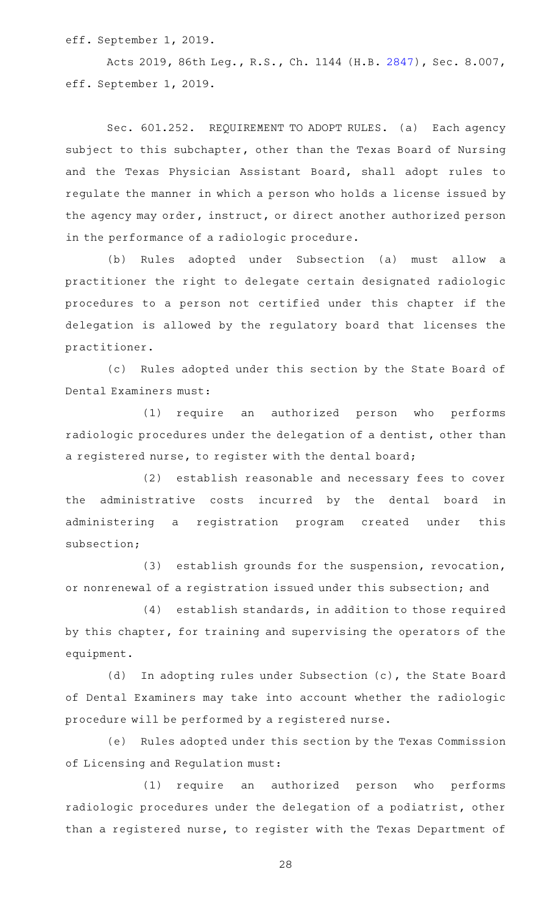eff. September 1, 2019.

Acts 2019, 86th Leg., R.S., Ch. 1144 (H.B. [2847](http://www.legis.state.tx.us/tlodocs/86R/billtext/html/HB02847F.HTM)), Sec. 8.007, eff. September 1, 2019.

Sec. 601.252. REQUIREMENT TO ADOPT RULES. (a) Each agency subject to this subchapter, other than the Texas Board of Nursing and the Texas Physician Assistant Board, shall adopt rules to regulate the manner in which a person who holds a license issued by the agency may order, instruct, or direct another authorized person in the performance of a radiologic procedure.

(b) Rules adopted under Subsection (a) must allow a practitioner the right to delegate certain designated radiologic procedures to a person not certified under this chapter if the delegation is allowed by the regulatory board that licenses the practitioner.

(c) Rules adopted under this section by the State Board of Dental Examiners must:

(1) require an authorized person who performs radiologic procedures under the delegation of a dentist, other than a registered nurse, to register with the dental board;

(2) establish reasonable and necessary fees to cover the administrative costs incurred by the dental board in administering a registration program created under this subsection;

 $(3)$  establish grounds for the suspension, revocation, or nonrenewal of a registration issued under this subsection; and

 $(4)$  establish standards, in addition to those required by this chapter, for training and supervising the operators of the equipment.

(d) In adopting rules under Subsection (c), the State Board of Dental Examiners may take into account whether the radiologic procedure will be performed by a registered nurse.

(e) Rules adopted under this section by the Texas Commission of Licensing and Regulation must:

(1) require an authorized person who performs radiologic procedures under the delegation of a podiatrist, other than a registered nurse, to register with the Texas Department of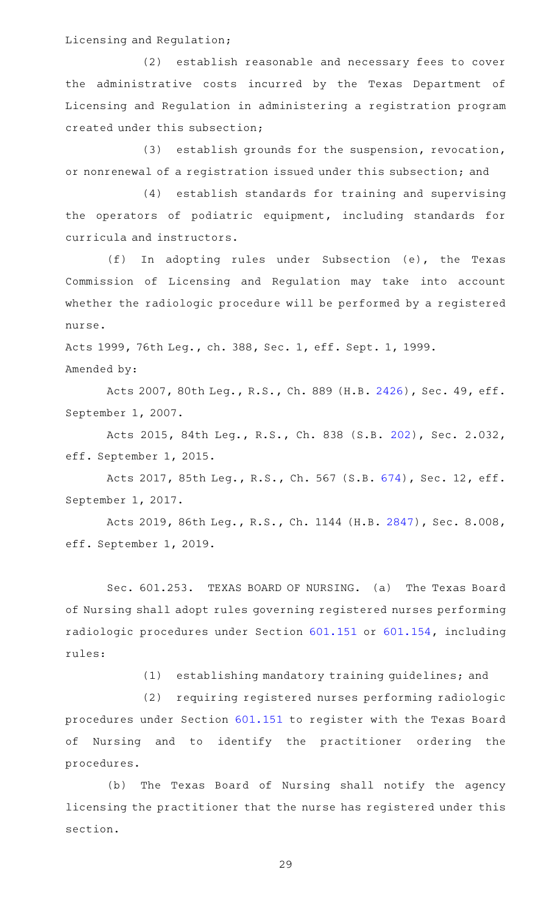Licensing and Regulation;

(2) establish reasonable and necessary fees to cover the administrative costs incurred by the Texas Department of Licensing and Regulation in administering a registration program created under this subsection;

(3) establish grounds for the suspension, revocation, or nonrenewal of a registration issued under this subsection; and

(4) establish standards for training and supervising the operators of podiatric equipment, including standards for curricula and instructors.

(f) In adopting rules under Subsection (e), the Texas Commission of Licensing and Regulation may take into account whether the radiologic procedure will be performed by a registered nurse.

Acts 1999, 76th Leg., ch. 388, Sec. 1, eff. Sept. 1, 1999.

Amended by:

Acts 2007, 80th Leg., R.S., Ch. 889 (H.B. [2426\)](http://www.legis.state.tx.us/tlodocs/80R/billtext/html/HB02426F.HTM), Sec. 49, eff. September 1, 2007.

Acts 2015, 84th Leg., R.S., Ch. 838 (S.B. [202](http://www.legis.state.tx.us/tlodocs/84R/billtext/html/SB00202F.HTM)), Sec. 2.032, eff. September 1, 2015.

Acts 2017, 85th Leg., R.S., Ch. 567 (S.B. [674\)](http://www.legis.state.tx.us/tlodocs/85R/billtext/html/SB00674F.HTM), Sec. 12, eff. September 1, 2017.

Acts 2019, 86th Leg., R.S., Ch. 1144 (H.B. [2847](http://www.legis.state.tx.us/tlodocs/86R/billtext/html/HB02847F.HTM)), Sec. 8.008, eff. September 1, 2019.

Sec. 601.253. TEXAS BOARD OF NURSING. (a) The Texas Board of Nursing shall adopt rules governing registered nurses performing radiologic procedures under Section [601.151](http://www.statutes.legis.state.tx.us/GetStatute.aspx?Code=OC&Value=601.151) or [601.154,](http://www.statutes.legis.state.tx.us/GetStatute.aspx?Code=OC&Value=601.154) including rules:

(1) establishing mandatory training guidelines; and

(2) requiring registered nurses performing radiologic procedures under Section [601.151](http://www.statutes.legis.state.tx.us/GetStatute.aspx?Code=OC&Value=601.151) to register with the Texas Board of Nursing and to identify the practitioner ordering the procedures.

(b) The Texas Board of Nursing shall notify the agency licensing the practitioner that the nurse has registered under this section.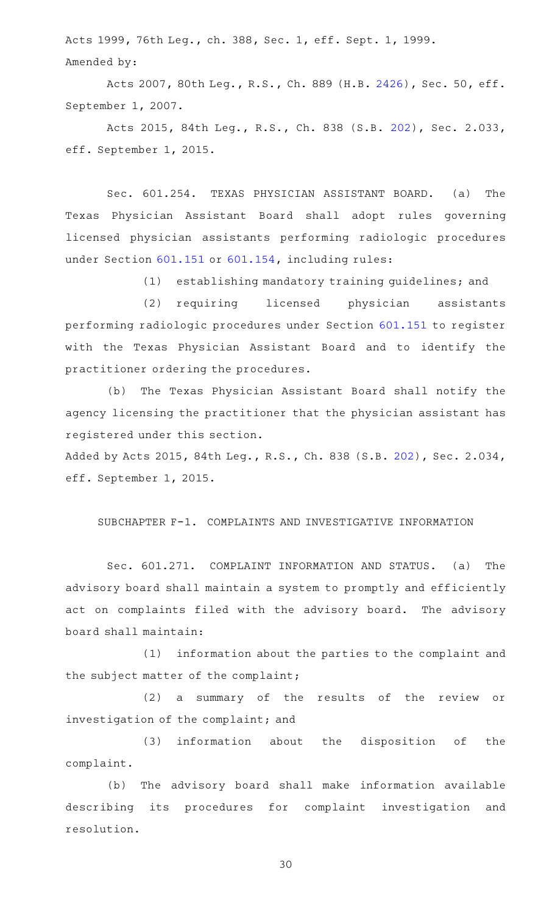Acts 1999, 76th Leg., ch. 388, Sec. 1, eff. Sept. 1, 1999. Amended by:

Acts 2007, 80th Leg., R.S., Ch. 889 (H.B. [2426\)](http://www.legis.state.tx.us/tlodocs/80R/billtext/html/HB02426F.HTM), Sec. 50, eff. September 1, 2007.

Acts 2015, 84th Leg., R.S., Ch. 838 (S.B. [202](http://www.legis.state.tx.us/tlodocs/84R/billtext/html/SB00202F.HTM)), Sec. 2.033, eff. September 1, 2015.

Sec. 601.254. TEXAS PHYSICIAN ASSISTANT BOARD. (a) The Texas Physician Assistant Board shall adopt rules governing licensed physician assistants performing radiologic procedures under Section [601.151](http://www.statutes.legis.state.tx.us/GetStatute.aspx?Code=OC&Value=601.151) or [601.154](http://www.statutes.legis.state.tx.us/GetStatute.aspx?Code=OC&Value=601.154), including rules:

(1) establishing mandatory training guidelines; and

(2) requiring licensed physician assistants performing radiologic procedures under Section [601.151](http://www.statutes.legis.state.tx.us/GetStatute.aspx?Code=OC&Value=601.151) to register with the Texas Physician Assistant Board and to identify the practitioner ordering the procedures.

(b) The Texas Physician Assistant Board shall notify the agency licensing the practitioner that the physician assistant has registered under this section.

Added by Acts 2015, 84th Leg., R.S., Ch. 838 (S.B. [202\)](http://www.legis.state.tx.us/tlodocs/84R/billtext/html/SB00202F.HTM), Sec. 2.034, eff. September 1, 2015.

## SUBCHAPTER F-1. COMPLAINTS AND INVESTIGATIVE INFORMATION

Sec. 601.271. COMPLAINT INFORMATION AND STATUS. (a) The advisory board shall maintain a system to promptly and efficiently act on complaints filed with the advisory board. The advisory board shall maintain:

(1) information about the parties to the complaint and the subject matter of the complaint;

(2) a summary of the results of the review or investigation of the complaint; and

(3) information about the disposition of the complaint.

(b) The advisory board shall make information available describing its procedures for complaint investigation and resolution.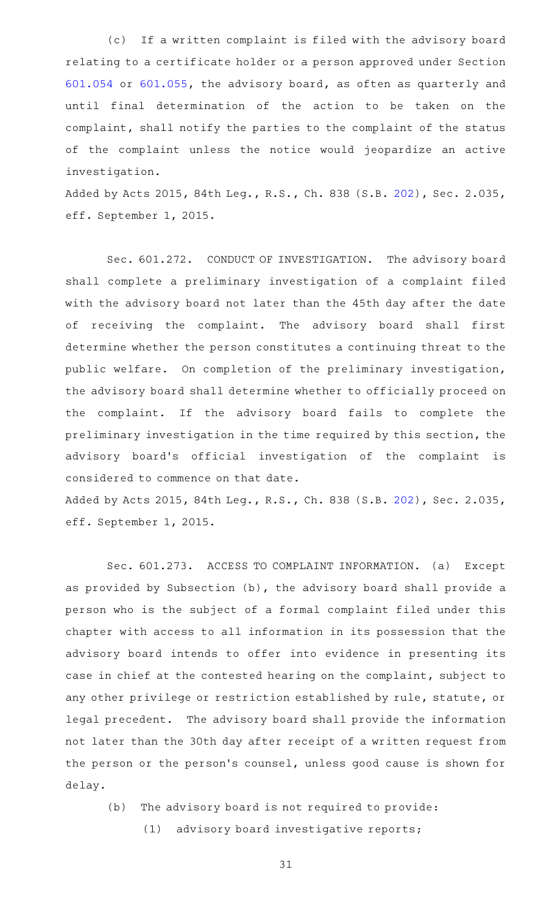(c) If a written complaint is filed with the advisory board relating to a certificate holder or a person approved under Section [601.054](http://www.statutes.legis.state.tx.us/GetStatute.aspx?Code=OC&Value=601.054) or [601.055,](http://www.statutes.legis.state.tx.us/GetStatute.aspx?Code=OC&Value=601.055) the advisory board, as often as quarterly and until final determination of the action to be taken on the complaint, shall notify the parties to the complaint of the status of the complaint unless the notice would jeopardize an active investigation.

Added by Acts 2015, 84th Leg., R.S., Ch. 838 (S.B. [202\)](http://www.legis.state.tx.us/tlodocs/84R/billtext/html/SB00202F.HTM), Sec. 2.035, eff. September 1, 2015.

Sec. 601.272. CONDUCT OF INVESTIGATION. The advisory board shall complete a preliminary investigation of a complaint filed with the advisory board not later than the 45th day after the date of receiving the complaint. The advisory board shall first determine whether the person constitutes a continuing threat to the public welfare. On completion of the preliminary investigation, the advisory board shall determine whether to officially proceed on the complaint. If the advisory board fails to complete the preliminary investigation in the time required by this section, the advisory board's official investigation of the complaint is considered to commence on that date.

Added by Acts 2015, 84th Leg., R.S., Ch. 838 (S.B. [202\)](http://www.legis.state.tx.us/tlodocs/84R/billtext/html/SB00202F.HTM), Sec. 2.035, eff. September 1, 2015.

Sec. 601.273. ACCESS TO COMPLAINT INFORMATION. (a) Except as provided by Subsection (b), the advisory board shall provide a person who is the subject of a formal complaint filed under this chapter with access to all information in its possession that the advisory board intends to offer into evidence in presenting its case in chief at the contested hearing on the complaint, subject to any other privilege or restriction established by rule, statute, or legal precedent. The advisory board shall provide the information not later than the 30th day after receipt of a written request from the person or the person's counsel, unless good cause is shown for delay.

(b) The advisory board is not required to provide:

(1) advisory board investigative reports;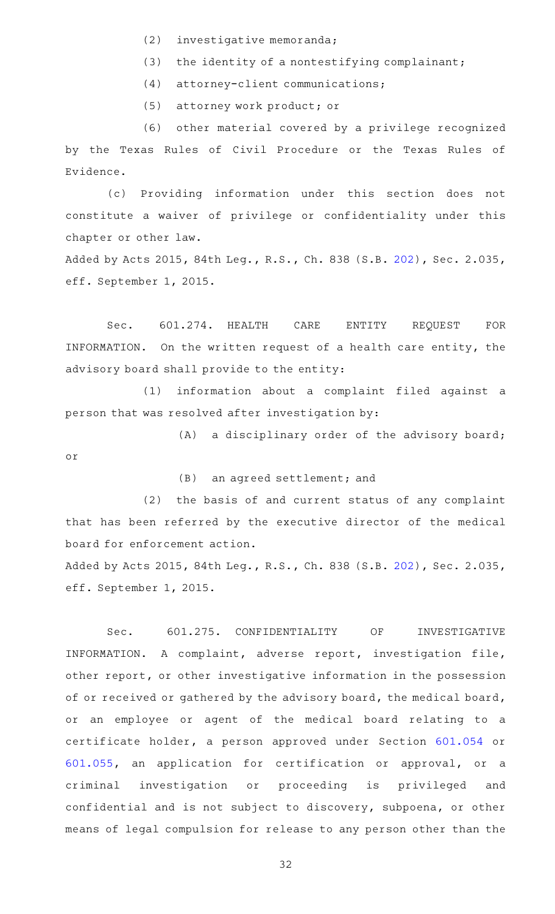- (2) investigative memoranda;
- (3) the identity of a nontestifying complainant;
- (4) attorney-client communications;

(5) attorney work product; or

(6) other material covered by a privilege recognized by the Texas Rules of Civil Procedure or the Texas Rules of Evidence.

(c) Providing information under this section does not constitute a waiver of privilege or confidentiality under this chapter or other law.

Added by Acts 2015, 84th Leg., R.S., Ch. 838 (S.B. [202\)](http://www.legis.state.tx.us/tlodocs/84R/billtext/html/SB00202F.HTM), Sec. 2.035, eff. September 1, 2015.

Sec. 601.274. HEALTH CARE ENTITY REQUEST FOR INFORMATION. On the written request of a health care entity, the advisory board shall provide to the entity:

(1) information about a complaint filed against a person that was resolved after investigation by:

 $(A)$  a disciplinary order of the advisory board; or

(B) an agreed settlement; and

(2) the basis of and current status of any complaint that has been referred by the executive director of the medical board for enforcement action.

Added by Acts 2015, 84th Leg., R.S., Ch. 838 (S.B. [202\)](http://www.legis.state.tx.us/tlodocs/84R/billtext/html/SB00202F.HTM), Sec. 2.035, eff. September 1, 2015.

Sec. 601.275. CONFIDENTIALITY OF INVESTIGATIVE INFORMATION. A complaint, adverse report, investigation file, other report, or other investigative information in the possession of or received or gathered by the advisory board, the medical board, or an employee or agent of the medical board relating to a certificate holder, a person approved under Section [601.054](http://www.statutes.legis.state.tx.us/GetStatute.aspx?Code=OC&Value=601.054) or [601.055,](http://www.statutes.legis.state.tx.us/GetStatute.aspx?Code=OC&Value=601.055) an application for certification or approval, or a criminal investigation or proceeding is privileged and confidential and is not subject to discovery, subpoena, or other means of legal compulsion for release to any person other than the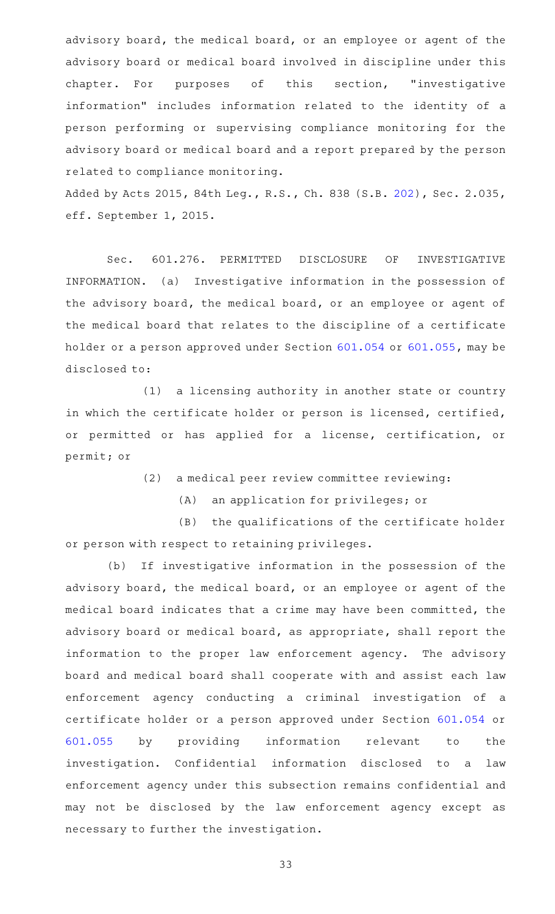advisory board, the medical board, or an employee or agent of the advisory board or medical board involved in discipline under this chapter. For purposes of this section, "investigative information" includes information related to the identity of a person performing or supervising compliance monitoring for the advisory board or medical board and a report prepared by the person related to compliance monitoring.

Added by Acts 2015, 84th Leg., R.S., Ch. 838 (S.B. [202\)](http://www.legis.state.tx.us/tlodocs/84R/billtext/html/SB00202F.HTM), Sec. 2.035, eff. September 1, 2015.

Sec. 601.276. PERMITTED DISCLOSURE OF INVESTIGATIVE INFORMATION. (a) Investigative information in the possession of the advisory board, the medical board, or an employee or agent of the medical board that relates to the discipline of a certificate holder or a person approved under Section [601.054](http://www.statutes.legis.state.tx.us/GetStatute.aspx?Code=OC&Value=601.054) or [601.055,](http://www.statutes.legis.state.tx.us/GetStatute.aspx?Code=OC&Value=601.055) may be disclosed to:

(1) a licensing authority in another state or country in which the certificate holder or person is licensed, certified, or permitted or has applied for a license, certification, or permit; or

(2) a medical peer review committee reviewing:

(A) an application for privileges; or

(B) the qualifications of the certificate holder or person with respect to retaining privileges.

(b) If investigative information in the possession of the advisory board, the medical board, or an employee or agent of the medical board indicates that a crime may have been committed, the advisory board or medical board, as appropriate, shall report the information to the proper law enforcement agency. The advisory board and medical board shall cooperate with and assist each law enforcement agency conducting a criminal investigation of a certificate holder or a person approved under Section [601.054](http://www.statutes.legis.state.tx.us/GetStatute.aspx?Code=OC&Value=601.054) or [601.055](http://www.statutes.legis.state.tx.us/GetStatute.aspx?Code=OC&Value=601.055) by providing information relevant to the investigation. Confidential information disclosed to a law enforcement agency under this subsection remains confidential and may not be disclosed by the law enforcement agency except as necessary to further the investigation.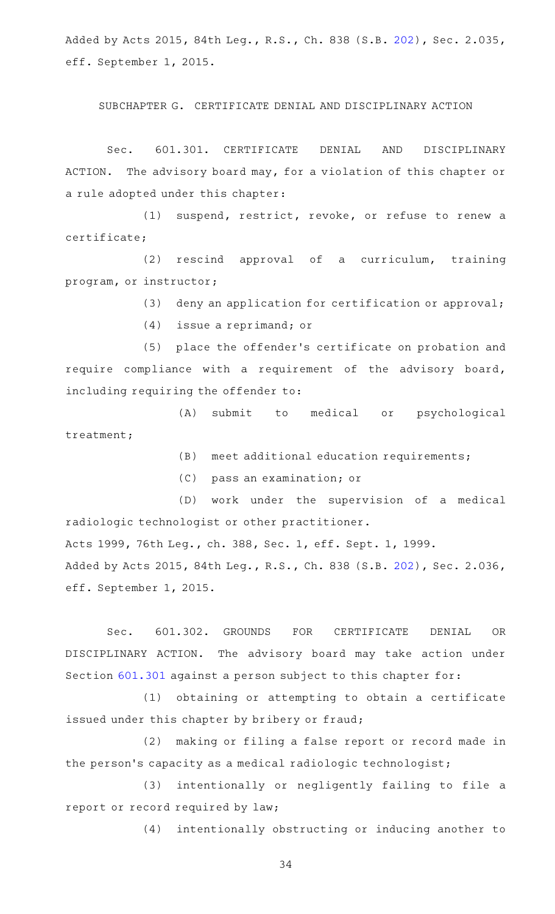Added by Acts 2015, 84th Leg., R.S., Ch. 838 (S.B. [202\)](http://www.legis.state.tx.us/tlodocs/84R/billtext/html/SB00202F.HTM), Sec. 2.035, eff. September 1, 2015.

SUBCHAPTER G. CERTIFICATE DENIAL AND DISCIPLINARY ACTION

Sec. 601.301. CERTIFICATE DENIAL AND DISCIPLINARY ACTION. The advisory board may, for a violation of this chapter or a rule adopted under this chapter:

(1) suspend, restrict, revoke, or refuse to renew a certificate;

(2) rescind approval of a curriculum, training program, or instructor;

(3) deny an application for certification or approval;

(4) issue a reprimand; or

(5) place the offender's certificate on probation and require compliance with a requirement of the advisory board, including requiring the offender to:

(A) submit to medical or psychological treatment;

 $(B)$  meet additional education requirements;

(C) pass an examination; or

(D) work under the supervision of a medical radiologic technologist or other practitioner. Acts 1999, 76th Leg., ch. 388, Sec. 1, eff. Sept. 1, 1999.

Added by Acts 2015, 84th Leg., R.S., Ch. 838 (S.B. [202\)](http://www.legis.state.tx.us/tlodocs/84R/billtext/html/SB00202F.HTM), Sec. 2.036, eff. September 1, 2015.

Sec. 601.302. GROUNDS FOR CERTIFICATE DENIAL OR DISCIPLINARY ACTION. The advisory board may take action under Section [601.301](http://www.statutes.legis.state.tx.us/GetStatute.aspx?Code=OC&Value=601.301) against a person subject to this chapter for:

(1) obtaining or attempting to obtain a certificate issued under this chapter by bribery or fraud;

(2) making or filing a false report or record made in the person's capacity as a medical radiologic technologist;

(3) intentionally or negligently failing to file a report or record required by law;

(4) intentionally obstructing or inducing another to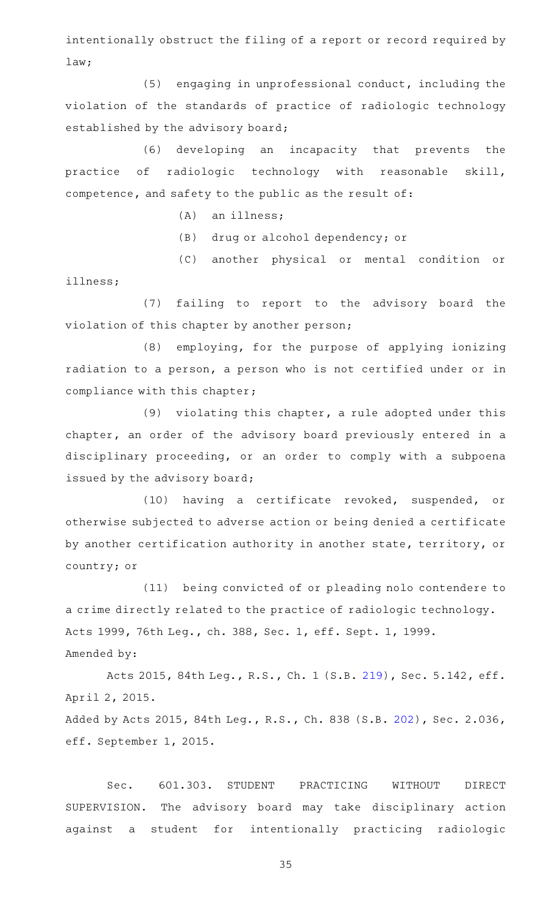intentionally obstruct the filing of a report or record required by law;

 $(5)$  engaging in unprofessional conduct, including the violation of the standards of practice of radiologic technology established by the advisory board;

(6) developing an incapacity that prevents the practice of radiologic technology with reasonable skill, competence, and safety to the public as the result of:

 $(A)$  an illness;

(B) drug or alcohol dependency; or

(C) another physical or mental condition or

illness;

(7) failing to report to the advisory board the violation of this chapter by another person;

 $(8)$  employing, for the purpose of applying ionizing radiation to a person, a person who is not certified under or in compliance with this chapter;

(9) violating this chapter, a rule adopted under this chapter, an order of the advisory board previously entered in a disciplinary proceeding, or an order to comply with a subpoena issued by the advisory board;

(10) having a certificate revoked, suspended, or otherwise subjected to adverse action or being denied a certificate by another certification authority in another state, territory, or country; or

(11) being convicted of or pleading nolo contendere to a crime directly related to the practice of radiologic technology. Acts 1999, 76th Leg., ch. 388, Sec. 1, eff. Sept. 1, 1999. Amended by:

Acts 2015, 84th Leg., R.S., Ch. 1 (S.B. [219](http://www.legis.state.tx.us/tlodocs/84R/billtext/html/SB00219F.HTM)), Sec. 5.142, eff. April 2, 2015. Added by Acts 2015, 84th Leg., R.S., Ch. 838 (S.B. [202\)](http://www.legis.state.tx.us/tlodocs/84R/billtext/html/SB00202F.HTM), Sec. 2.036, eff. September 1, 2015.

Sec. 601.303. STUDENT PRACTICING WITHOUT DIRECT SUPERVISION. The advisory board may take disciplinary action against a student for intentionally practicing radiologic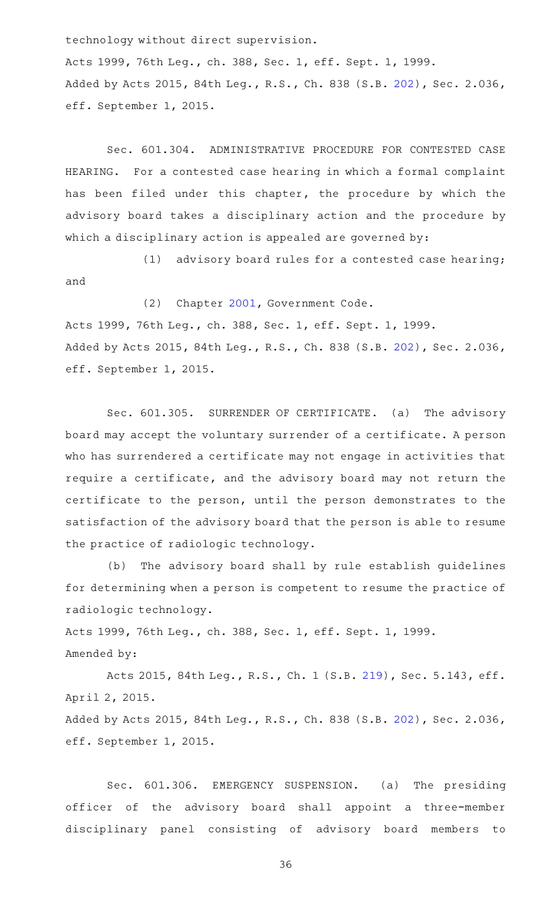technology without direct supervision.

Acts 1999, 76th Leg., ch. 388, Sec. 1, eff. Sept. 1, 1999. Added by Acts 2015, 84th Leg., R.S., Ch. 838 (S.B. [202\)](http://www.legis.state.tx.us/tlodocs/84R/billtext/html/SB00202F.HTM), Sec. 2.036, eff. September 1, 2015.

Sec. 601.304. ADMINISTRATIVE PROCEDURE FOR CONTESTED CASE HEARING. For a contested case hearing in which a formal complaint has been filed under this chapter, the procedure by which the advisory board takes a disciplinary action and the procedure by which a disciplinary action is appealed are governed by:

 $(1)$  advisory board rules for a contested case hearing; and

(2) Chapter [2001](http://www.statutes.legis.state.tx.us/GetStatute.aspx?Code=GV&Value=2001), Government Code.

Acts 1999, 76th Leg., ch. 388, Sec. 1, eff. Sept. 1, 1999. Added by Acts 2015, 84th Leg., R.S., Ch. 838 (S.B. [202\)](http://www.legis.state.tx.us/tlodocs/84R/billtext/html/SB00202F.HTM), Sec. 2.036, eff. September 1, 2015.

Sec. 601.305. SURRENDER OF CERTIFICATE. (a) The advisory board may accept the voluntary surrender of a certificate. A person who has surrendered a certificate may not engage in activities that require a certificate, and the advisory board may not return the certificate to the person, until the person demonstrates to the satisfaction of the advisory board that the person is able to resume the practice of radiologic technology.

(b) The advisory board shall by rule establish guidelines for determining when a person is competent to resume the practice of radiologic technology.

Acts 1999, 76th Leg., ch. 388, Sec. 1, eff. Sept. 1, 1999. Amended by:

Acts 2015, 84th Leg., R.S., Ch. 1 (S.B. [219](http://www.legis.state.tx.us/tlodocs/84R/billtext/html/SB00219F.HTM)), Sec. 5.143, eff. April 2, 2015. Added by Acts 2015, 84th Leg., R.S., Ch. 838 (S.B. [202\)](http://www.legis.state.tx.us/tlodocs/84R/billtext/html/SB00202F.HTM), Sec. 2.036, eff. September 1, 2015.

Sec. 601.306. EMERGENCY SUSPENSION. (a) The presiding officer of the advisory board shall appoint a three-member disciplinary panel consisting of advisory board members to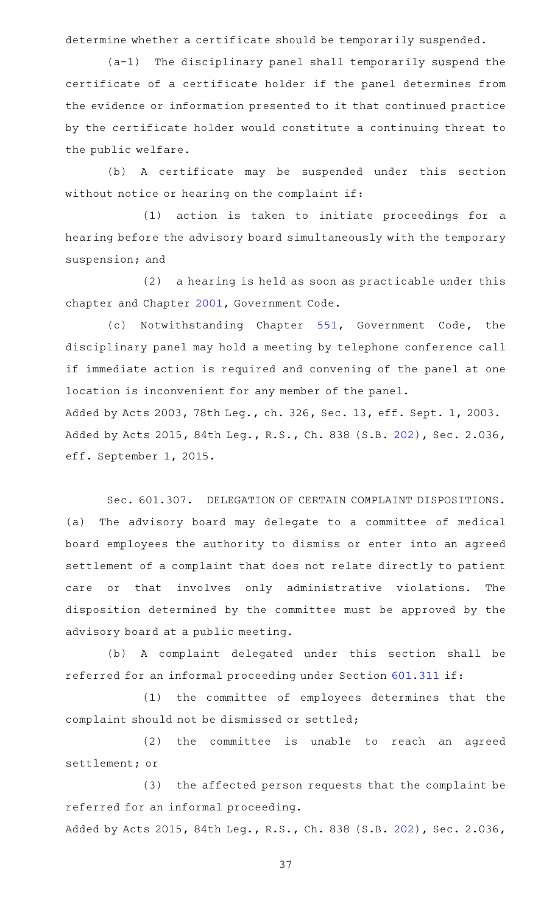determine whether a certificate should be temporarily suspended.

 $(a-1)$  The disciplinary panel shall temporarily suspend the certificate of a certificate holder if the panel determines from the evidence or information presented to it that continued practice by the certificate holder would constitute a continuing threat to the public welfare.

(b) A certificate may be suspended under this section without notice or hearing on the complaint if:

(1) action is taken to initiate proceedings for a hearing before the advisory board simultaneously with the temporary suspension; and

 $(2)$  a hearing is held as soon as practicable under this chapter and Chapter [2001,](http://www.statutes.legis.state.tx.us/GetStatute.aspx?Code=GV&Value=2001) Government Code.

(c) Notwithstanding Chapter [551](http://www.statutes.legis.state.tx.us/GetStatute.aspx?Code=GV&Value=551), Government Code, the disciplinary panel may hold a meeting by telephone conference call if immediate action is required and convening of the panel at one location is inconvenient for any member of the panel.

Added by Acts 2003, 78th Leg., ch. 326, Sec. 13, eff. Sept. 1, 2003. Added by Acts 2015, 84th Leg., R.S., Ch. 838 (S.B. [202\)](http://www.legis.state.tx.us/tlodocs/84R/billtext/html/SB00202F.HTM), Sec. 2.036, eff. September 1, 2015.

Sec. 601.307. DELEGATION OF CERTAIN COMPLAINT DISPOSITIONS. (a) The advisory board may delegate to a committee of medical board employees the authority to dismiss or enter into an agreed settlement of a complaint that does not relate directly to patient care or that involves only administrative violations. The disposition determined by the committee must be approved by the advisory board at a public meeting.

(b) A complaint delegated under this section shall be referred for an informal proceeding under Section [601.311](http://www.statutes.legis.state.tx.us/GetStatute.aspx?Code=OC&Value=601.311) if:

(1) the committee of employees determines that the complaint should not be dismissed or settled;

(2) the committee is unable to reach an agreed settlement; or

(3) the affected person requests that the complaint be referred for an informal proceeding.

Added by Acts 2015, 84th Leg., R.S., Ch. 838 (S.B. [202\)](http://www.legis.state.tx.us/tlodocs/84R/billtext/html/SB00202F.HTM), Sec. 2.036,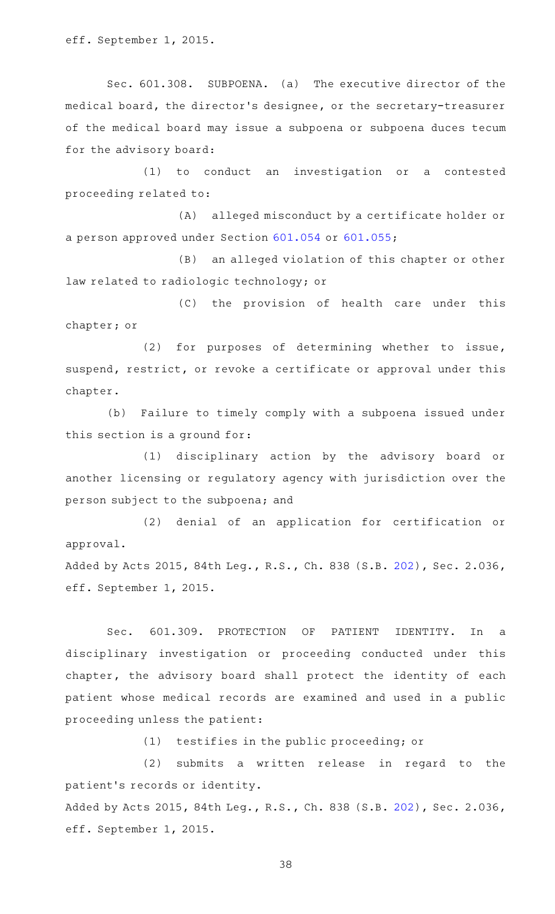eff. September 1, 2015.

Sec. 601.308. SUBPOENA. (a) The executive director of the medical board, the director 's designee, or the secretary-treasurer of the medical board may issue a subpoena or subpoena duces tecum for the advisory board:

(1) to conduct an investigation or a contested proceeding related to:

(A) alleged misconduct by a certificate holder or a person approved under Section [601.054](http://www.statutes.legis.state.tx.us/GetStatute.aspx?Code=OC&Value=601.054) or [601.055;](http://www.statutes.legis.state.tx.us/GetStatute.aspx?Code=OC&Value=601.055)

(B) an alleged violation of this chapter or other law related to radiologic technology; or

(C) the provision of health care under this chapter; or

(2) for purposes of determining whether to issue, suspend, restrict, or revoke a certificate or approval under this chapter.

(b) Failure to timely comply with a subpoena issued under this section is a ground for:

(1) disciplinary action by the advisory board or another licensing or regulatory agency with jurisdiction over the person subject to the subpoena; and

(2) denial of an application for certification or approval.

Added by Acts 2015, 84th Leg., R.S., Ch. 838 (S.B. [202\)](http://www.legis.state.tx.us/tlodocs/84R/billtext/html/SB00202F.HTM), Sec. 2.036, eff. September 1, 2015.

Sec. 601.309. PROTECTION OF PATIENT IDENTITY. In a disciplinary investigation or proceeding conducted under this chapter, the advisory board shall protect the identity of each patient whose medical records are examined and used in a public proceeding unless the patient:

(1) testifies in the public proceeding; or

(2) submits a written release in regard to the patient 's records or identity.

Added by Acts 2015, 84th Leg., R.S., Ch. 838 (S.B. [202\)](http://www.legis.state.tx.us/tlodocs/84R/billtext/html/SB00202F.HTM), Sec. 2.036, eff. September 1, 2015.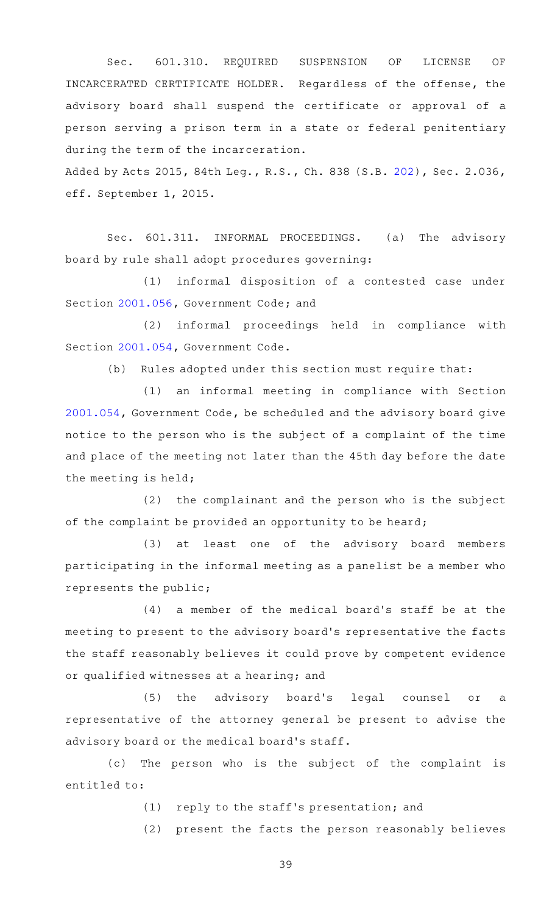Sec. 601.310. REQUIRED SUSPENSION OF LICENSE OF INCARCERATED CERTIFICATE HOLDER. Regardless of the offense, the advisory board shall suspend the certificate or approval of a person serving a prison term in a state or federal penitentiary during the term of the incarceration.

Added by Acts 2015, 84th Leg., R.S., Ch. 838 (S.B. [202\)](http://www.legis.state.tx.us/tlodocs/84R/billtext/html/SB00202F.HTM), Sec. 2.036, eff. September 1, 2015.

Sec. 601.311. INFORMAL PROCEEDINGS. (a) The advisory board by rule shall adopt procedures governing:

(1) informal disposition of a contested case under Section [2001.056](http://www.statutes.legis.state.tx.us/GetStatute.aspx?Code=GV&Value=2001.056), Government Code; and

(2) informal proceedings held in compliance with Section [2001.054](http://www.statutes.legis.state.tx.us/GetStatute.aspx?Code=GV&Value=2001.054), Government Code.

(b) Rules adopted under this section must require that:

(1) an informal meeting in compliance with Section [2001.054](http://www.statutes.legis.state.tx.us/GetStatute.aspx?Code=GV&Value=2001.054), Government Code, be scheduled and the advisory board give notice to the person who is the subject of a complaint of the time and place of the meeting not later than the 45th day before the date the meeting is held;

 $(2)$  the complainant and the person who is the subject of the complaint be provided an opportunity to be heard;

 $(3)$  at least one of the advisory board members participating in the informal meeting as a panelist be a member who represents the public;

 $(4)$  a member of the medical board's staff be at the meeting to present to the advisory board 's representative the facts the staff reasonably believes it could prove by competent evidence or qualified witnesses at a hearing; and

(5) the advisory board's legal counsel or a representative of the attorney general be present to advise the advisory board or the medical board's staff.

(c) The person who is the subject of the complaint is entitled to:

(1) reply to the staff's presentation; and

(2) present the facts the person reasonably believes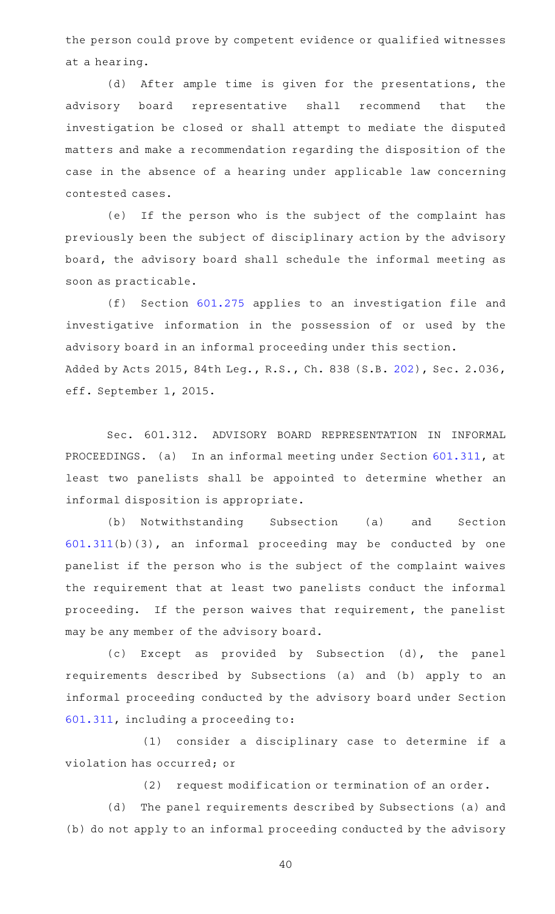the person could prove by competent evidence or qualified witnesses at a hearing.

(d) After ample time is given for the presentations, the advisory board representative shall recommend that the investigation be closed or shall attempt to mediate the disputed matters and make a recommendation regarding the disposition of the case in the absence of a hearing under applicable law concerning contested cases.

(e) If the person who is the subject of the complaint has previously been the subject of disciplinary action by the advisory board, the advisory board shall schedule the informal meeting as soon as practicable.

(f) Section [601.275](http://www.statutes.legis.state.tx.us/GetStatute.aspx?Code=OC&Value=601.275) applies to an investigation file and investigative information in the possession of or used by the advisory board in an informal proceeding under this section. Added by Acts 2015, 84th Leg., R.S., Ch. 838 (S.B. [202\)](http://www.legis.state.tx.us/tlodocs/84R/billtext/html/SB00202F.HTM), Sec. 2.036, eff. September 1, 2015.

Sec. 601.312. ADVISORY BOARD REPRESENTATION IN INFORMAL PROCEEDINGS. (a) In an informal meeting under Section [601.311,](http://www.statutes.legis.state.tx.us/GetStatute.aspx?Code=OC&Value=601.311) at least two panelists shall be appointed to determine whether an informal disposition is appropriate.

(b) Notwithstanding Subsection (a) and Section [601.311\(](http://www.statutes.legis.state.tx.us/GetStatute.aspx?Code=OC&Value=601.311)b)(3), an informal proceeding may be conducted by one panelist if the person who is the subject of the complaint waives the requirement that at least two panelists conduct the informal proceeding. If the person waives that requirement, the panelist may be any member of the advisory board.

(c) Except as provided by Subsection (d), the panel requirements described by Subsections (a) and (b) apply to an informal proceeding conducted by the advisory board under Section [601.311,](http://www.statutes.legis.state.tx.us/GetStatute.aspx?Code=OC&Value=601.311) including a proceeding to:

(1) consider a disciplinary case to determine if a violation has occurred; or

(2) request modification or termination of an order.

(d) The panel requirements described by Subsections (a) and (b) do not apply to an informal proceeding conducted by the advisory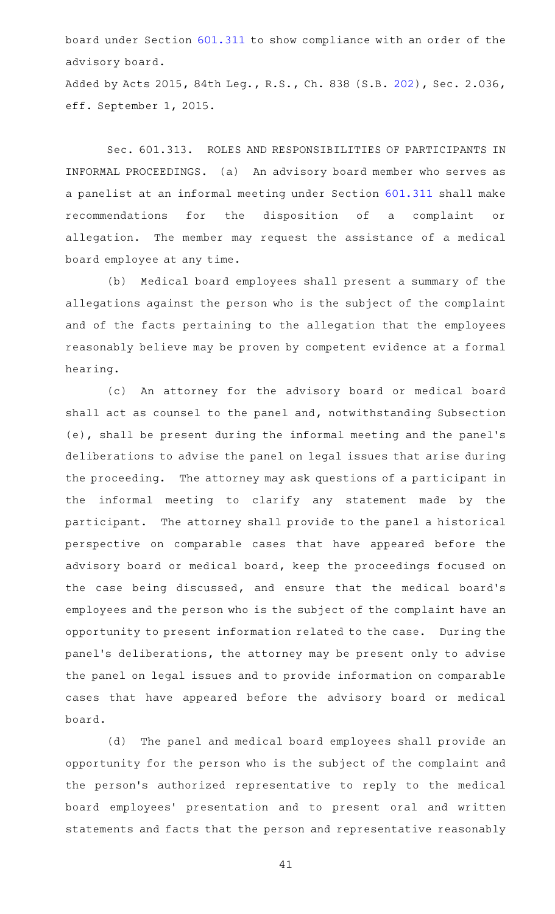board under Section [601.311](http://www.statutes.legis.state.tx.us/GetStatute.aspx?Code=OC&Value=601.311) to show compliance with an order of the advisory board.

Added by Acts 2015, 84th Leg., R.S., Ch. 838 (S.B. [202\)](http://www.legis.state.tx.us/tlodocs/84R/billtext/html/SB00202F.HTM), Sec. 2.036, eff. September 1, 2015.

Sec. 601.313. ROLES AND RESPONSIBILITIES OF PARTICIPANTS IN INFORMAL PROCEEDINGS. (a) An advisory board member who serves as a panelist at an informal meeting under Section [601.311](http://www.statutes.legis.state.tx.us/GetStatute.aspx?Code=OC&Value=601.311) shall make recommendations for the disposition of a complaint or allegation. The member may request the assistance of a medical board employee at any time.

(b) Medical board employees shall present a summary of the allegations against the person who is the subject of the complaint and of the facts pertaining to the allegation that the employees reasonably believe may be proven by competent evidence at a formal hearing.

(c) An attorney for the advisory board or medical board shall act as counsel to the panel and, notwithstanding Subsection (e), shall be present during the informal meeting and the panel 's deliberations to advise the panel on legal issues that arise during the proceeding. The attorney may ask questions of a participant in the informal meeting to clarify any statement made by the participant. The attorney shall provide to the panel a historical perspective on comparable cases that have appeared before the advisory board or medical board, keep the proceedings focused on the case being discussed, and ensure that the medical board's employees and the person who is the subject of the complaint have an opportunity to present information related to the case. During the panel's deliberations, the attorney may be present only to advise the panel on legal issues and to provide information on comparable cases that have appeared before the advisory board or medical board.

(d) The panel and medical board employees shall provide an opportunity for the person who is the subject of the complaint and the person's authorized representative to reply to the medical board employees' presentation and to present oral and written statements and facts that the person and representative reasonably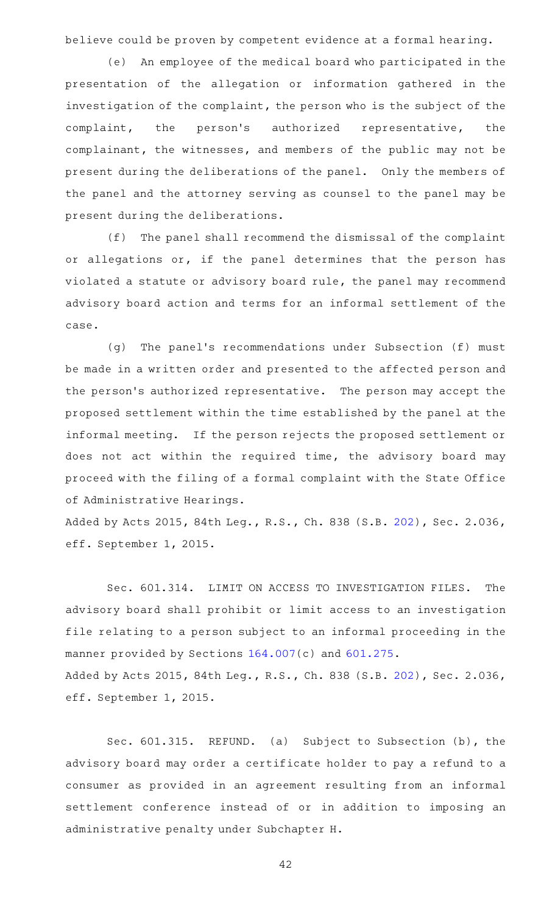believe could be proven by competent evidence at a formal hearing.

(e) An employee of the medical board who participated in the presentation of the allegation or information gathered in the investigation of the complaint, the person who is the subject of the complaint, the person's authorized representative, the complainant, the witnesses, and members of the public may not be present during the deliberations of the panel. Only the members of the panel and the attorney serving as counsel to the panel may be present during the deliberations.

(f) The panel shall recommend the dismissal of the complaint or allegations or, if the panel determines that the person has violated a statute or advisory board rule, the panel may recommend advisory board action and terms for an informal settlement of the case.

(g) The panel's recommendations under Subsection (f) must be made in a written order and presented to the affected person and the person's authorized representative. The person may accept the proposed settlement within the time established by the panel at the informal meeting. If the person rejects the proposed settlement or does not act within the required time, the advisory board may proceed with the filing of a formal complaint with the State Office of Administrative Hearings.

Added by Acts 2015, 84th Leg., R.S., Ch. 838 (S.B. [202\)](http://www.legis.state.tx.us/tlodocs/84R/billtext/html/SB00202F.HTM), Sec. 2.036, eff. September 1, 2015.

Sec. 601.314. LIMIT ON ACCESS TO INVESTIGATION FILES. The advisory board shall prohibit or limit access to an investigation file relating to a person subject to an informal proceeding in the manner provided by Sections [164.007](http://www.statutes.legis.state.tx.us/GetStatute.aspx?Code=OC&Value=164.007)(c) and [601.275](http://www.statutes.legis.state.tx.us/GetStatute.aspx?Code=OC&Value=601.275). Added by Acts 2015, 84th Leg., R.S., Ch. 838 (S.B. [202\)](http://www.legis.state.tx.us/tlodocs/84R/billtext/html/SB00202F.HTM), Sec. 2.036, eff. September 1, 2015.

Sec. 601.315. REFUND. (a) Subject to Subsection (b), the advisory board may order a certificate holder to pay a refund to a consumer as provided in an agreement resulting from an informal settlement conference instead of or in addition to imposing an administrative penalty under Subchapter H.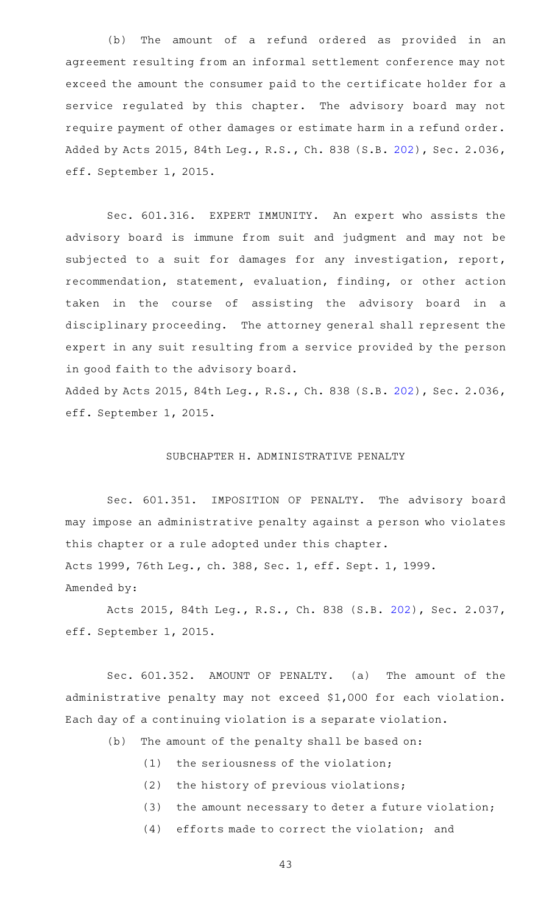(b) The amount of a refund ordered as provided in an agreement resulting from an informal settlement conference may not exceed the amount the consumer paid to the certificate holder for a service regulated by this chapter. The advisory board may not require payment of other damages or estimate harm in a refund order. Added by Acts 2015, 84th Leg., R.S., Ch. 838 (S.B. [202\)](http://www.legis.state.tx.us/tlodocs/84R/billtext/html/SB00202F.HTM), Sec. 2.036, eff. September 1, 2015.

Sec. 601.316. EXPERT IMMUNITY. An expert who assists the advisory board is immune from suit and judgment and may not be subjected to a suit for damages for any investigation, report, recommendation, statement, evaluation, finding, or other action taken in the course of assisting the advisory board in a disciplinary proceeding. The attorney general shall represent the expert in any suit resulting from a service provided by the person in good faith to the advisory board.

Added by Acts 2015, 84th Leg., R.S., Ch. 838 (S.B. [202\)](http://www.legis.state.tx.us/tlodocs/84R/billtext/html/SB00202F.HTM), Sec. 2.036, eff. September 1, 2015.

### SUBCHAPTER H. ADMINISTRATIVE PENALTY

Sec. 601.351. IMPOSITION OF PENALTY. The advisory board may impose an administrative penalty against a person who violates this chapter or a rule adopted under this chapter. Acts 1999, 76th Leg., ch. 388, Sec. 1, eff. Sept. 1, 1999. Amended by:

Acts 2015, 84th Leg., R.S., Ch. 838 (S.B. [202](http://www.legis.state.tx.us/tlodocs/84R/billtext/html/SB00202F.HTM)), Sec. 2.037, eff. September 1, 2015.

Sec. 601.352. AMOUNT OF PENALTY. (a) The amount of the administrative penalty may not exceed \$1,000 for each violation. Each day of a continuing violation is a separate violation.

- (b) The amount of the penalty shall be based on:
	- (1) the seriousness of the violation;
	- (2) the history of previous violations;
	- $(3)$  the amount necessary to deter a future violation;
	- $(4)$  efforts made to correct the violation; and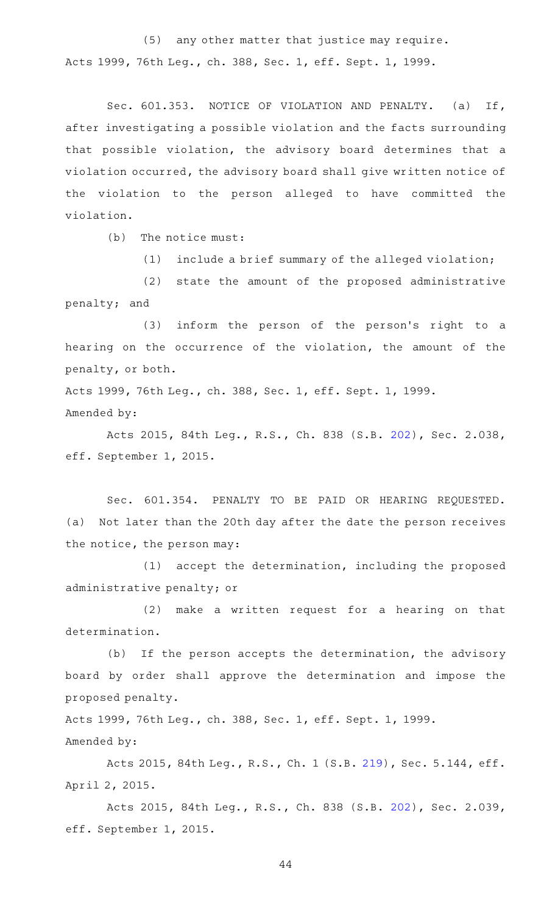(5) any other matter that justice may require. Acts 1999, 76th Leg., ch. 388, Sec. 1, eff. Sept. 1, 1999.

Sec. 601.353. NOTICE OF VIOLATION AND PENALTY. (a) If, after investigating a possible violation and the facts surrounding that possible violation, the advisory board determines that a violation occurred, the advisory board shall give written notice of the violation to the person alleged to have committed the violation.

 $(b)$  The notice must:

 $(1)$  include a brief summary of the alleged violation;

(2) state the amount of the proposed administrative penalty; and

(3) inform the person of the person's right to a hearing on the occurrence of the violation, the amount of the penalty, or both.

Acts 1999, 76th Leg., ch. 388, Sec. 1, eff. Sept. 1, 1999. Amended by:

Acts 2015, 84th Leg., R.S., Ch. 838 (S.B. [202](http://www.legis.state.tx.us/tlodocs/84R/billtext/html/SB00202F.HTM)), Sec. 2.038, eff. September 1, 2015.

Sec. 601.354. PENALTY TO BE PAID OR HEARING REQUESTED. (a) Not later than the 20th day after the date the person receives the notice, the person may:

(1) accept the determination, including the proposed administrative penalty; or

(2) make a written request for a hearing on that determination.

(b) If the person accepts the determination, the advisory board by order shall approve the determination and impose the proposed penalty.

Acts 1999, 76th Leg., ch. 388, Sec. 1, eff. Sept. 1, 1999. Amended by:

Acts 2015, 84th Leg., R.S., Ch. 1 (S.B. [219](http://www.legis.state.tx.us/tlodocs/84R/billtext/html/SB00219F.HTM)), Sec. 5.144, eff. April 2, 2015.

Acts 2015, 84th Leg., R.S., Ch. 838 (S.B. [202](http://www.legis.state.tx.us/tlodocs/84R/billtext/html/SB00202F.HTM)), Sec. 2.039, eff. September 1, 2015.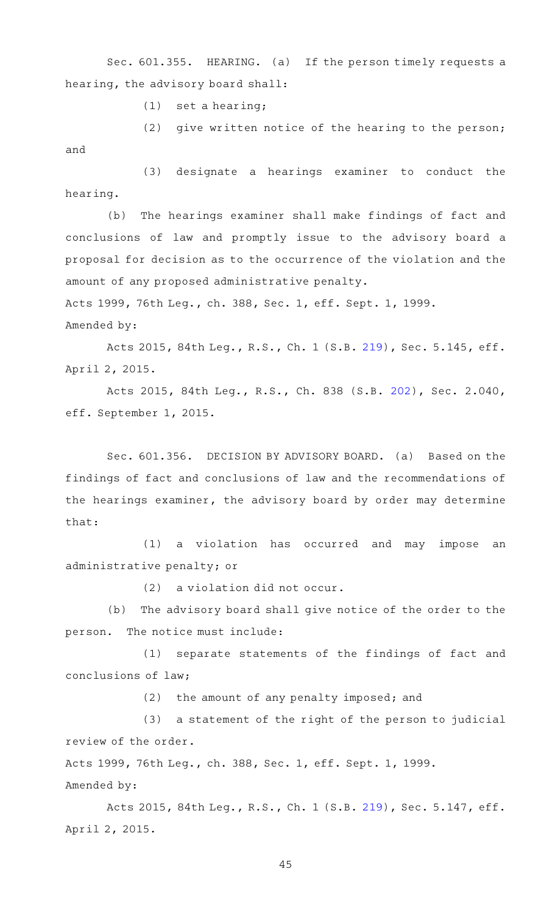Sec. 601.355. HEARING. (a) If the person timely requests a hearing, the advisory board shall:

 $(1)$  set a hearing;

(2) give written notice of the hearing to the person; and

(3) designate a hearings examiner to conduct the hearing.

(b) The hearings examiner shall make findings of fact and conclusions of law and promptly issue to the advisory board a proposal for decision as to the occurrence of the violation and the amount of any proposed administrative penalty.

Acts 1999, 76th Leg., ch. 388, Sec. 1, eff. Sept. 1, 1999.

Amended by:

Acts 2015, 84th Leg., R.S., Ch. 1 (S.B. [219](http://www.legis.state.tx.us/tlodocs/84R/billtext/html/SB00219F.HTM)), Sec. 5.145, eff. April 2, 2015.

Acts 2015, 84th Leg., R.S., Ch. 838 (S.B. [202](http://www.legis.state.tx.us/tlodocs/84R/billtext/html/SB00202F.HTM)), Sec. 2.040, eff. September 1, 2015.

Sec. 601.356. DECISION BY ADVISORY BOARD. (a) Based on the findings of fact and conclusions of law and the recommendations of the hearings examiner, the advisory board by order may determine that:

(1) a violation has occurred and may impose an administrative penalty; or

 $(2)$  a violation did not occur.

(b) The advisory board shall give notice of the order to the person. The notice must include:

(1) separate statements of the findings of fact and conclusions of law;

 $(2)$  the amount of any penalty imposed; and

(3) a statement of the right of the person to judicial review of the order.

Acts 1999, 76th Leg., ch. 388, Sec. 1, eff. Sept. 1, 1999. Amended by:

Acts 2015, 84th Leg., R.S., Ch. 1 (S.B. [219](http://www.legis.state.tx.us/tlodocs/84R/billtext/html/SB00219F.HTM)), Sec. 5.147, eff. April 2, 2015.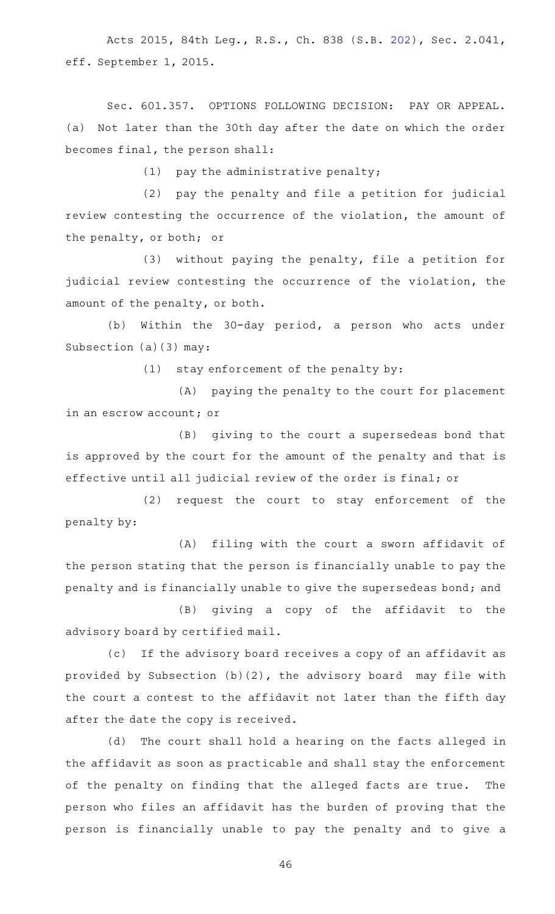Acts 2015, 84th Leg., R.S., Ch. 838 (S.B. [202](http://www.legis.state.tx.us/tlodocs/84R/billtext/html/SB00202F.HTM)), Sec. 2.041, eff. September 1, 2015.

Sec. 601.357. OPTIONS FOLLOWING DECISION: PAY OR APPEAL. (a) Not later than the 30th day after the date on which the order becomes final, the person shall:

 $(1)$  pay the administrative penalty;

(2) pay the penalty and file a petition for judicial review contesting the occurrence of the violation, the amount of the penalty, or both; or

 $(3)$  without paying the penalty, file a petition for judicial review contesting the occurrence of the violation, the amount of the penalty, or both.

(b) Within the 30-day period, a person who acts under Subsection (a)(3) may:

 $(1)$  stay enforcement of the penalty by:

(A) paying the penalty to the court for placement in an escrow account; or

(B) giving to the court a supersedeas bond that is approved by the court for the amount of the penalty and that is effective until all judicial review of the order is final; or

(2) request the court to stay enforcement of the penalty by:

(A) filing with the court a sworn affidavit of the person stating that the person is financially unable to pay the penalty and is financially unable to give the supersedeas bond; and

(B) giving a copy of the affidavit to the advisory board by certified mail.

(c) If the advisory board receives a copy of an affidavit as provided by Subsection  $(b)(2)$ , the advisory board may file with the court a contest to the affidavit not later than the fifth day after the date the copy is received.

(d) The court shall hold a hearing on the facts alleged in the affidavit as soon as practicable and shall stay the enforcement of the penalty on finding that the alleged facts are true. The person who files an affidavit has the burden of proving that the person is financially unable to pay the penalty and to give a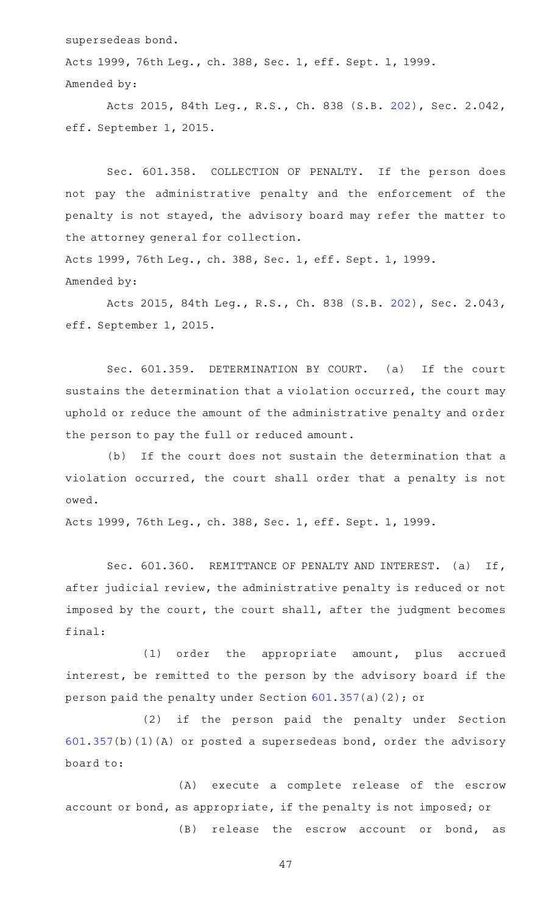supersedeas bond.

Acts 1999, 76th Leg., ch. 388, Sec. 1, eff. Sept. 1, 1999. Amended by:

Acts 2015, 84th Leg., R.S., Ch. 838 (S.B. [202](http://www.legis.state.tx.us/tlodocs/84R/billtext/html/SB00202F.HTM)), Sec. 2.042, eff. September 1, 2015.

Sec. 601.358. COLLECTION OF PENALTY. If the person does not pay the administrative penalty and the enforcement of the penalty is not stayed, the advisory board may refer the matter to the attorney general for collection. Acts 1999, 76th Leg., ch. 388, Sec. 1, eff. Sept. 1, 1999.

Amended by:

Acts 2015, 84th Leg., R.S., Ch. 838 (S.B. [202](http://www.legis.state.tx.us/tlodocs/84R/billtext/html/SB00202F.HTM)), Sec. 2.043, eff. September 1, 2015.

Sec. 601.359. DETERMINATION BY COURT. (a) If the court sustains the determination that a violation occurred, the court may uphold or reduce the amount of the administrative penalty and order the person to pay the full or reduced amount.

(b) If the court does not sustain the determination that a violation occurred, the court shall order that a penalty is not owed.

Acts 1999, 76th Leg., ch. 388, Sec. 1, eff. Sept. 1, 1999.

Sec. 601.360. REMITTANCE OF PENALTY AND INTEREST. (a) If, after judicial review, the administrative penalty is reduced or not imposed by the court, the court shall, after the judgment becomes final:

(1) order the appropriate amount, plus accrued interest, be remitted to the person by the advisory board if the person paid the penalty under Section [601.357\(](http://www.statutes.legis.state.tx.us/GetStatute.aspx?Code=OC&Value=601.357)a)(2); or

(2) if the person paid the penalty under Section [601.357\(](http://www.statutes.legis.state.tx.us/GetStatute.aspx?Code=OC&Value=601.357)b)(1)(A) or posted a supersedeas bond, order the advisory board to:

(A) execute a complete release of the escrow account or bond, as appropriate, if the penalty is not imposed; or

(B) release the escrow account or bond, as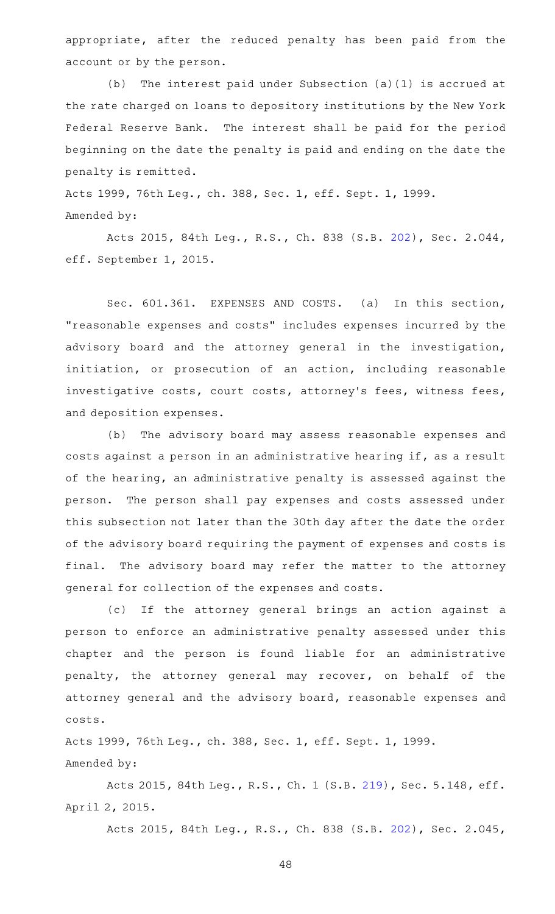appropriate, after the reduced penalty has been paid from the account or by the person.

(b) The interest paid under Subsection (a)(1) is accrued at the rate charged on loans to depository institutions by the New York Federal Reserve Bank. The interest shall be paid for the period beginning on the date the penalty is paid and ending on the date the penalty is remitted.

Acts 1999, 76th Leg., ch. 388, Sec. 1, eff. Sept. 1, 1999. Amended by:

Acts 2015, 84th Leg., R.S., Ch. 838 (S.B. [202](http://www.legis.state.tx.us/tlodocs/84R/billtext/html/SB00202F.HTM)), Sec. 2.044, eff. September 1, 2015.

Sec. 601.361. EXPENSES AND COSTS. (a) In this section, "reasonable expenses and costs" includes expenses incurred by the advisory board and the attorney general in the investigation, initiation, or prosecution of an action, including reasonable investigative costs, court costs, attorney's fees, witness fees, and deposition expenses.

(b) The advisory board may assess reasonable expenses and costs against a person in an administrative hearing if, as a result of the hearing, an administrative penalty is assessed against the person. The person shall pay expenses and costs assessed under this subsection not later than the 30th day after the date the order of the advisory board requiring the payment of expenses and costs is final. The advisory board may refer the matter to the attorney general for collection of the expenses and costs.

(c) If the attorney general brings an action against a person to enforce an administrative penalty assessed under this chapter and the person is found liable for an administrative penalty, the attorney general may recover, on behalf of the attorney general and the advisory board, reasonable expenses and costs.

Acts 1999, 76th Leg., ch. 388, Sec. 1, eff. Sept. 1, 1999. Amended by:

Acts 2015, 84th Leg., R.S., Ch. 1 (S.B. [219](http://www.legis.state.tx.us/tlodocs/84R/billtext/html/SB00219F.HTM)), Sec. 5.148, eff. April 2, 2015.

Acts 2015, 84th Leg., R.S., Ch. 838 (S.B. [202](http://www.legis.state.tx.us/tlodocs/84R/billtext/html/SB00202F.HTM)), Sec. 2.045,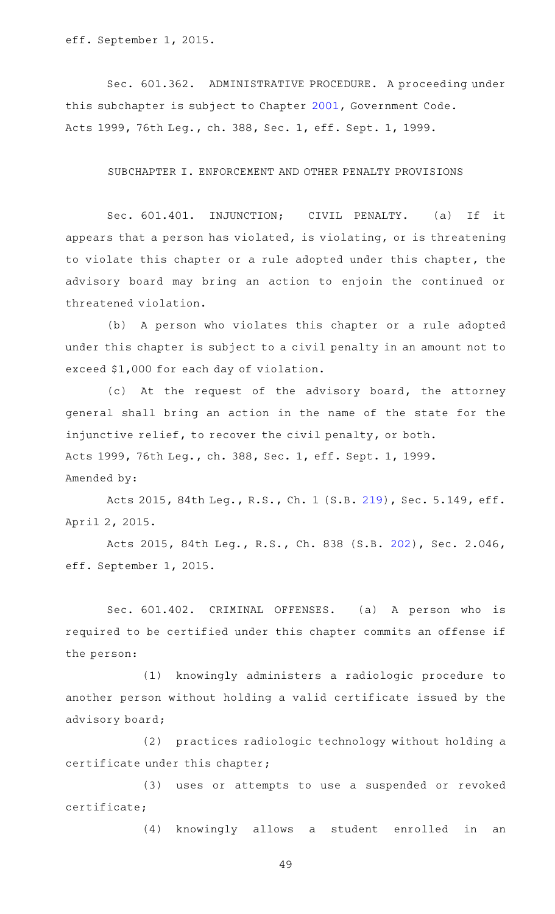eff. September 1, 2015.

Sec. 601.362. ADMINISTRATIVE PROCEDURE. A proceeding under this subchapter is subject to Chapter [2001,](http://www.statutes.legis.state.tx.us/GetStatute.aspx?Code=GV&Value=2001) Government Code. Acts 1999, 76th Leg., ch. 388, Sec. 1, eff. Sept. 1, 1999.

SUBCHAPTER I. ENFORCEMENT AND OTHER PENALTY PROVISIONS

Sec. 601.401. INJUNCTION; CIVIL PENALTY. (a) If it appears that a person has violated, is violating, or is threatening to violate this chapter or a rule adopted under this chapter, the advisory board may bring an action to enjoin the continued or threatened violation.

(b) A person who violates this chapter or a rule adopted under this chapter is subject to a civil penalty in an amount not to exceed \$1,000 for each day of violation.

(c) At the request of the advisory board, the attorney general shall bring an action in the name of the state for the injunctive relief, to recover the civil penalty, or both. Acts 1999, 76th Leg., ch. 388, Sec. 1, eff. Sept. 1, 1999. Amended by:

Acts 2015, 84th Leg., R.S., Ch. 1 (S.B. [219](http://www.legis.state.tx.us/tlodocs/84R/billtext/html/SB00219F.HTM)), Sec. 5.149, eff. April 2, 2015.

Acts 2015, 84th Leg., R.S., Ch. 838 (S.B. [202](http://www.legis.state.tx.us/tlodocs/84R/billtext/html/SB00202F.HTM)), Sec. 2.046, eff. September 1, 2015.

Sec. 601.402. CRIMINAL OFFENSES. (a) A person who is required to be certified under this chapter commits an offense if the person:

(1) knowingly administers a radiologic procedure to another person without holding a valid certificate issued by the advisory board;

(2) practices radiologic technology without holding a certificate under this chapter;

(3) uses or attempts to use a suspended or revoked certificate;

(4) knowingly allows a student enrolled in an